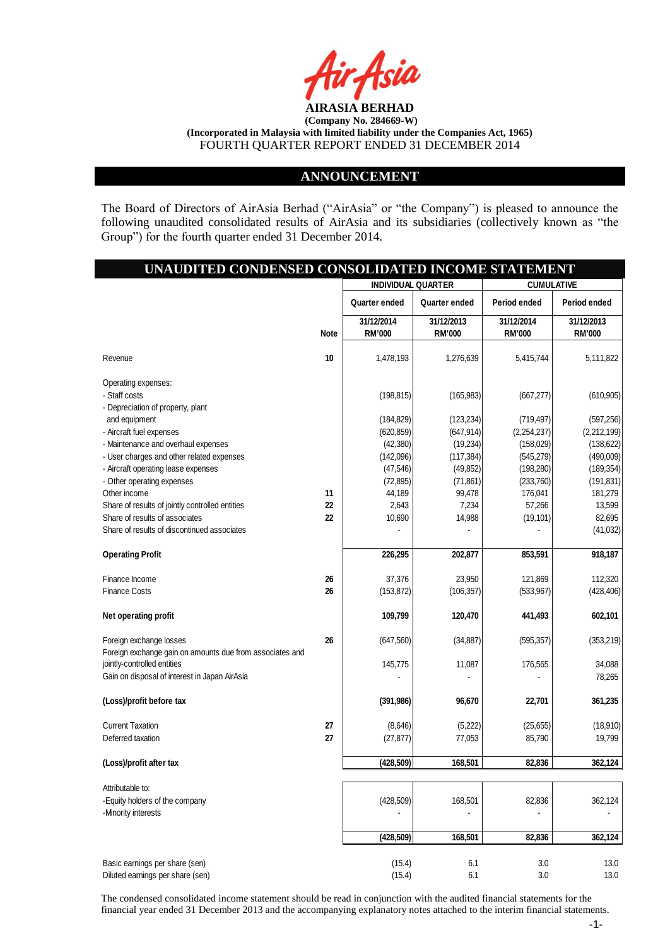

### **ANNOUNCEMENT**

The Board of Directors of AirAsia Berhad ("AirAsia" or "the Company") is pleased to announce the following unaudited consolidated results of AirAsia and its subsidiaries (collectively known as "the Group") for the fourth quarter ended 31 December 2014.

# **UNAUDITED CONDENSED CONSOLIDATED INCOME STATEMENT**

|                                                          |             | <b>INDIVIDUAL QUARTER</b><br><b>CUMULATIVE</b> |               |               |               |
|----------------------------------------------------------|-------------|------------------------------------------------|---------------|---------------|---------------|
|                                                          |             | Quarter ended                                  | Quarter ended | Period ended  | Period ended  |
|                                                          |             | 31/12/2014                                     | 31/12/2013    | 31/12/2014    | 31/12/2013    |
|                                                          | <b>Note</b> | <b>RM'000</b>                                  | <b>RM'000</b> | <b>RM'000</b> | <b>RM'000</b> |
|                                                          |             |                                                |               |               |               |
| Revenue                                                  | 10          | 1,478,193                                      | 1,276,639     | 5,415,744     | 5,111,822     |
|                                                          |             |                                                |               |               |               |
| Operating expenses:<br>- Staff costs                     |             |                                                |               |               |               |
| - Depreciation of property, plant                        |             | (198, 815)                                     | (165, 983)    | (667, 277)    | (610, 905)    |
| and equipment                                            |             | (184, 829)                                     | (123, 234)    | (719, 497)    | (597, 256)    |
| - Aircraft fuel expenses                                 |             | (620, 859)                                     | (647, 914)    | (2,254,237)   | (2,212,199)   |
| - Maintenance and overhaul expenses                      |             | (42, 380)                                      | (19, 234)     | (158, 029)    | (138, 622)    |
| - User charges and other related expenses                |             | (142,096)                                      | (117, 384)    | (545, 279)    | (490,009)     |
| - Aircraft operating lease expenses                      |             | (47, 546)                                      | (49, 852)     | (198, 280)    | (189, 354)    |
| - Other operating expenses                               |             | (72, 895)                                      | (71, 861)     | (233, 760)    | (191, 831)    |
| Other income                                             | 11          | 44,189                                         | 99,478        | 176,041       | 181,279       |
| Share of results of jointly controlled entities          | 22          | 2,643                                          | 7,234         | 57,266        | 13,599        |
| Share of results of associates                           | 22          | 10,690                                         | 14,988        | (19, 101)     | 82,695        |
| Share of results of discontinued associates              |             |                                                |               |               | (41, 032)     |
|                                                          |             |                                                |               |               |               |
| <b>Operating Profit</b>                                  |             | 226,295                                        | 202,877       | 853,591       | 918,187       |
|                                                          |             |                                                |               |               |               |
| Finance Income                                           | 26          | 37,376                                         | 23,950        | 121,869       | 112,320       |
| <b>Finance Costs</b>                                     | 26          | (153, 872)                                     | (106, 357)    | (533, 967)    | (428, 406)    |
|                                                          |             |                                                |               |               |               |
| Net operating profit                                     |             | 109,799                                        | 120,470       | 441,493       | 602,101       |
|                                                          |             |                                                |               |               |               |
| Foreign exchange losses                                  | 26          | (647, 560)                                     | (34, 887)     | (595, 357)    | (353, 219)    |
| Foreign exchange gain on amounts due from associates and |             |                                                |               |               |               |
| jointly-controlled entities                              |             | 145,775                                        | 11,087        | 176,565       | 34,088        |
| Gain on disposal of interest in Japan AirAsia            |             |                                                |               |               | 78,265        |
|                                                          |             |                                                |               |               |               |
| (Loss)/profit before tax                                 |             | (391, 986)                                     | 96,670        | 22,701        | 361,235       |
| <b>Current Taxation</b>                                  | 27          | (8,646)                                        | (5,222)       | (25, 655)     | (18, 910)     |
| Deferred taxation                                        | 27          | (27, 877)                                      | 77,053        | 85,790        | 19,799        |
|                                                          |             |                                                |               |               |               |
| (Loss)/profit after tax                                  |             | (428, 509)                                     | 168,501       | 82,836        | 362,124       |
|                                                          |             |                                                |               |               |               |
| Attributable to:                                         |             |                                                |               |               |               |
| -Equity holders of the company                           |             | (428, 509)                                     | 168,501       | 82,836        | 362,124       |
| -Minority interests                                      |             |                                                |               |               |               |
|                                                          |             |                                                |               |               |               |
|                                                          |             | (428, 509)                                     | 168,501       | 82,836        | 362,124       |
|                                                          |             |                                                |               |               |               |
| Basic earnings per share (sen)                           |             | (15.4)                                         | 6.1           | 3.0           | 13.0          |
| Diluted earnings per share (sen)                         |             | (15.4)                                         | 6.1           | 3.0           | 13.0          |

The condensed consolidated income statement should be read in conjunction with the audited financial statements for the financial year ended 31 December 2013 and the accompanying explanatory notes attached to the interim financial statements.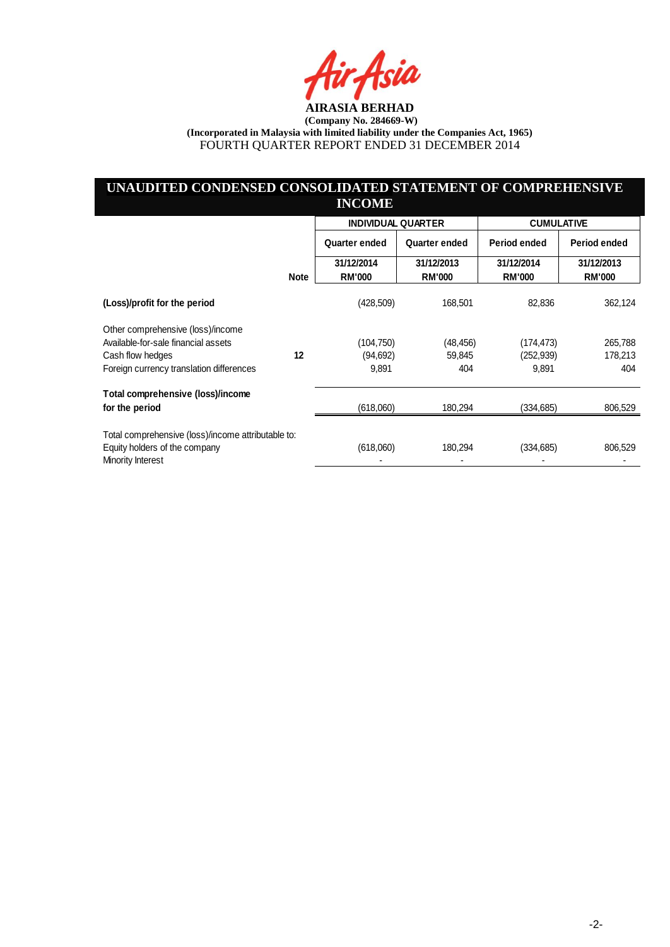ia

# **UNAUDITED CONDENSED CONSOLIDATED STATEMENT OF COMPREHENSIVE INCOME**

|                                                    |             | <b>INDIVIDUAL QUARTER</b>   |                             | <b>CUMULATIVE</b>           |                             |
|----------------------------------------------------|-------------|-----------------------------|-----------------------------|-----------------------------|-----------------------------|
|                                                    |             | Quarter ended               | <b>Quarter ended</b>        | Period ended                | Period ended                |
|                                                    | <b>Note</b> | 31/12/2014<br><b>RM'000</b> | 31/12/2013<br><b>RM'000</b> | 31/12/2014<br><b>RM'000</b> | 31/12/2013<br><b>RM'000</b> |
| (Loss)/profit for the period                       |             | (428, 509)                  | 168,501                     | 82,836                      | 362,124                     |
| Other comprehensive (loss)/income                  |             |                             |                             |                             |                             |
| Available-for-sale financial assets                |             | (104,750)                   | (48,456)                    | (174,473)                   | 265,788                     |
| Cash flow hedges                                   | 12          | (94, 692)                   | 59,845                      | (252,939)                   | 178,213                     |
| Foreign currency translation differences           |             | 9,891                       | 404                         | 9,891                       | 404                         |
| Total comprehensive (loss)/income                  |             |                             |                             |                             |                             |
| for the period                                     |             | (618,060)                   | 180,294                     | (334, 685)                  | 806,529                     |
| Total comprehensive (loss)/income attributable to: |             |                             |                             |                             |                             |
| Equity holders of the company<br>Minority Interest |             | (618,060)                   | 180,294                     | (334, 685)                  | 806,529                     |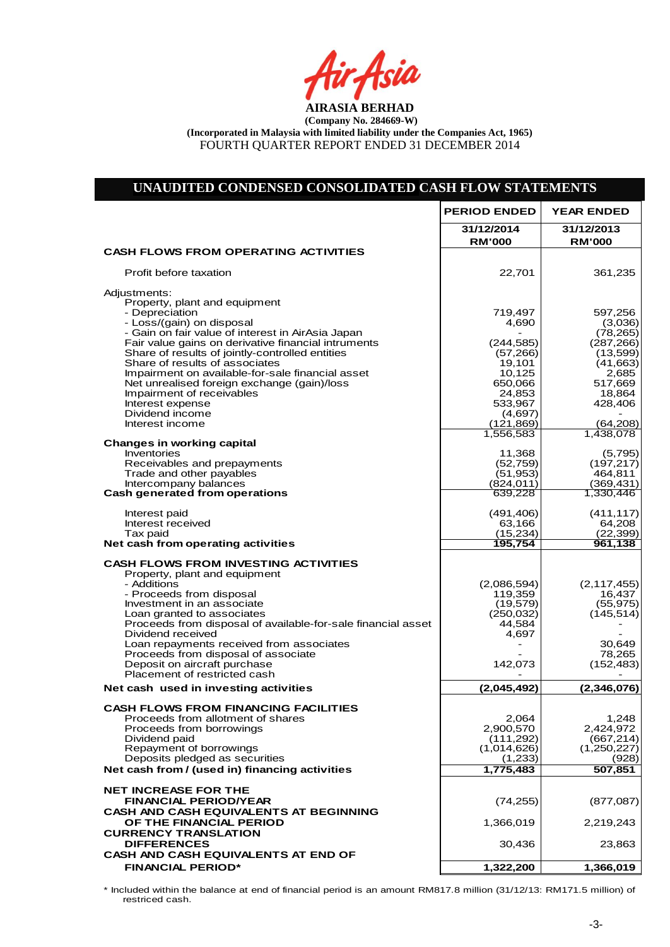io

| UNAUDITED CONDENSED CONSOLIDATED CASH FLOW STATEMENTS                                                    |                             |                                        |
|----------------------------------------------------------------------------------------------------------|-----------------------------|----------------------------------------|
|                                                                                                          | <b>PERIOD ENDED</b>         | <b>YEAR ENDED</b>                      |
|                                                                                                          | 31/12/2014<br><b>RM'000</b> | 31/12/2013<br><b>RM'000</b>            |
| <b>CASH FLOWS FROM OPERATING ACTIVITIES</b>                                                              |                             |                                        |
| Profit before taxation                                                                                   | 22,701                      | 361,235                                |
| Adjustments:                                                                                             |                             |                                        |
| Property, plant and equipment<br>- Depreciation                                                          | 719,497                     | 597,256                                |
| - Loss/(gain) on disposal                                                                                | 4,690                       | (3,036)                                |
| - Gain on fair value of interest in AirAsia Japan<br>Fair value gains on derivative financial intruments | (244, 585)                  | (78, 265)<br>(287, 266)                |
| Share of results of jointly-controlled entities                                                          | (57, 266)                   | (13,599)                               |
| Share of results of associates<br>Impairment on available-for-sale financial asset                       | 19,101<br>10,125            | (41, 663)<br>2,685                     |
| Net unrealised foreign exchange (gain)/loss                                                              | 650,066                     | 517,669                                |
| Impairment of receivables                                                                                | 24,853                      | 18,864                                 |
| Interest expense<br>Dividend income                                                                      | 533,967<br>(4,697)          | 428,406                                |
| Interest income                                                                                          | (121, 869)                  | (64, 208)                              |
| <b>Changes in working capital</b>                                                                        | 1,556,583                   | 1,438,078                              |
| Inventories                                                                                              | 11,368                      | (5,795)                                |
| Receivables and prepayments                                                                              | (52, 759)                   | (197, 217)                             |
| Trade and other payables<br>Intercompany balances                                                        | (51, 953)<br>(824, 011)     | 464,811<br>(369, 431)                  |
| Cash generated from operations                                                                           | 639,228                     | 1.330.446                              |
| Interest paid                                                                                            | (491, 406)                  | (411, 117)                             |
| Interest received                                                                                        | 63,166                      | 64,208                                 |
| Tax paid<br>Net cash from operating activities                                                           | (15, 234)<br>195,754        | (22, 399)<br>961,138                   |
| <b>CASH FLOWS FROM INVESTING ACTIVITIES</b>                                                              |                             |                                        |
| Property, plant and equipment                                                                            |                             |                                        |
| - Additions                                                                                              | (2,086,594)                 | (2, 117, 455)                          |
| - Proceeds from disposal<br>Investment in an associate                                                   | 119,359<br>(19, 579)        | 16,437<br>(55, 975)                    |
| Loan granted to associates                                                                               | (250, 032)                  | (145, 514)                             |
| Proceeds from disposal of available-for-sale financial asset<br>Dividend received                        | 44,584<br>4,697             |                                        |
| Loan repayments received from associates                                                                 |                             | 30,649                                 |
| Proceeds from disposal of associate                                                                      |                             | 78,265                                 |
| Deposit on aircraft purchase<br>Placement of restricted cash                                             | 142,073<br>$\blacksquare$   | (152, 483)<br>$\overline{\phantom{a}}$ |
| Net cash used in investing activities                                                                    | (2,045,492)                 | (2,346,076)                            |
| <b>CASH FLOWS FROM FINANCING FACILITIES</b>                                                              |                             |                                        |
| Proceeds from allotment of shares                                                                        | 2,064                       | 1.248                                  |
| Proceeds from borrowings<br>Dividend paid                                                                | 2,900,570<br>(111, 292)     | 2,424,972<br>(667, 214)                |
| Repayment of borrowings                                                                                  | (1,014,626)                 | (1,250,227)                            |
| Deposits pledged as securities<br>Net cash from / (used in) financing activities                         | (1,233)<br>1,775,483        | (928)<br>507,851                       |
|                                                                                                          |                             |                                        |
| <b>NET INCREASE FOR THE</b>                                                                              |                             |                                        |
| FINANCIAL PERIOD/YEAR<br><b>CASH AND CASH EQUIVALENTS AT BEGINNING</b>                                   | (74, 255)                   | (877,087)                              |
| OF THE FINANCIAL PERIOD                                                                                  | 1,366,019                   | 2,219,243                              |
| <b>CURRENCY TRANSLATION</b><br><b>DIFFERENCES</b>                                                        | 30,436                      | 23,863                                 |
| CASH AND CASH EQUIVALENTS AT END OF                                                                      |                             |                                        |
| <b>FINANCIAL PERIOD*</b>                                                                                 | 1,322,200                   | 1,366,019                              |
|                                                                                                          |                             |                                        |

\* Included within the balance at end of financial period is an amount RM817.8 million (31/12/13: RM171.5 million) of restriced cash.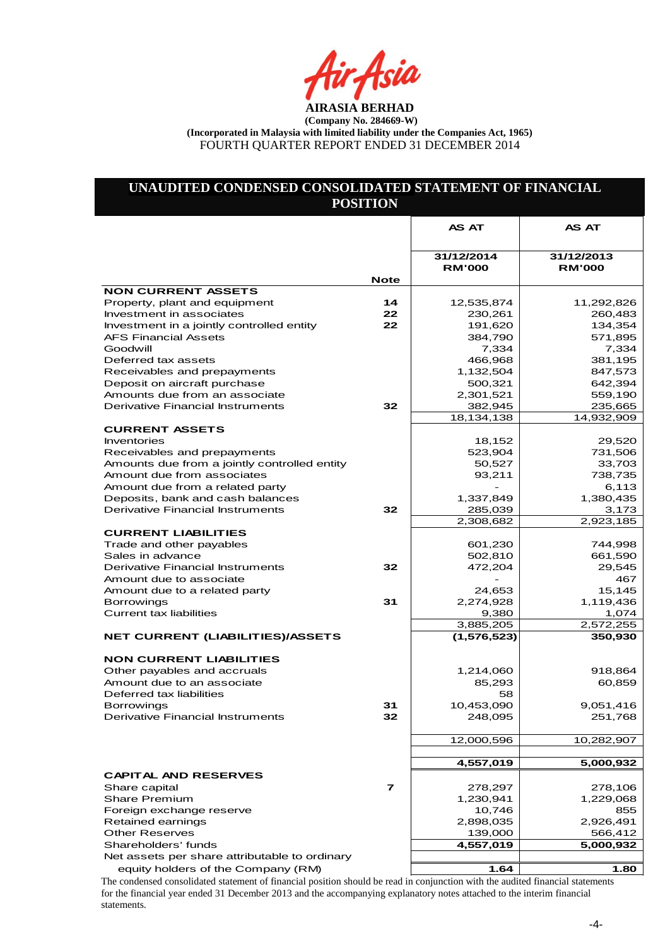ir Asia

# **UNAUDITED CONDENSED CONSOLIDATED STATEMENT OF FINANCIAL POSITION**

|                                                                    |                         | <b>AS AT</b>                | <b>AS AT</b>                |
|--------------------------------------------------------------------|-------------------------|-----------------------------|-----------------------------|
|                                                                    |                         |                             |                             |
|                                                                    |                         | 31/12/2014<br><b>RM'000</b> | 31/12/2013<br><b>RM'000</b> |
|                                                                    | <b>Note</b>             |                             |                             |
| <b>NON CURRENT ASSETS</b>                                          |                         |                             |                             |
| Property, plant and equipment<br>Investment in associates          | 14<br>22                | 12,535,874<br>230,261       | 11,292,826<br>260,483       |
| Investment in a jointly controlled entity                          | 22                      | 191,620                     | 134,354                     |
| <b>AFS Financial Assets</b>                                        |                         | 384,790                     | 571,895                     |
| Goodwill                                                           |                         | 7,334                       | 7,334                       |
| Deferred tax assets                                                |                         | 466,968                     | 381,195                     |
| Receivables and prepayments                                        |                         | 1,132,504                   | 847,573                     |
| Deposit on aircraft purchase                                       |                         | 500,321                     | 642,394                     |
| Amounts due from an associate                                      |                         | 2,301,521                   | 559,190                     |
| <b>Derivative Financial Instruments</b>                            | 32                      | 382,945                     | 235,665                     |
|                                                                    |                         | 18,134,138                  | 14,932,909                  |
| <b>CURRENT ASSETS</b>                                              |                         |                             |                             |
| <b>Inventories</b>                                                 |                         | 18,152                      | 29,520                      |
| Receivables and prepayments                                        |                         | 523,904                     | 731,506                     |
| Amounts due from a jointly controlled entity                       |                         | 50,527                      | 33,703                      |
| Amount due from associates                                         |                         | 93,211                      | 738,735                     |
| Amount due from a related party                                    |                         |                             | 6,113                       |
| Deposits, bank and cash balances                                   |                         | 1,337,849                   | 1,380,435                   |
| Derivative Financial Instruments                                   | 32                      | 285,039                     | 3,173                       |
|                                                                    |                         | 2,308,682                   | 2,923,185                   |
| <b>CURRENT LIABILITIES</b>                                         |                         |                             |                             |
| Trade and other payables                                           |                         | 601,230                     | 744,998                     |
| Sales in advance                                                   |                         | 502,810                     | 661,590                     |
| <b>Derivative Financial Instruments</b><br>Amount due to associate | 32                      | 472,204                     | 29,545<br>467               |
| Amount due to a related party                                      |                         | 24,653                      | 15,145                      |
| <b>Borrowings</b>                                                  | 31                      | 2,274,928                   | 1,119,436                   |
| <b>Current tax liabilities</b>                                     |                         | 9,380                       | 1,074                       |
|                                                                    |                         | 3,885,205                   | 2,572,255                   |
| <b>NET CURRENT (LIABILITIES)/ASSETS</b>                            |                         | (1, 576, 523)               | 350,930                     |
|                                                                    |                         |                             |                             |
| <b>NON CURRENT LIABILITIES</b><br>Other payables and accruals      |                         | 1,214,060                   | 918,864                     |
| Amount due to an associate                                         |                         | 85,293                      | 60,859                      |
| Deferred tax liabilities                                           |                         | 58                          |                             |
| <b>Borrowings</b>                                                  | 31                      | 10,453,090                  | 9,051,416                   |
| Derivative Financial Instruments                                   | 32                      | 248,095                     | 251,768                     |
|                                                                    |                         |                             |                             |
|                                                                    |                         | 12,000,596                  | 10,282,907                  |
|                                                                    |                         |                             |                             |
|                                                                    |                         | 4,557,019                   | 5,000,932                   |
| <b>CAPITAL AND RESERVES</b>                                        | $\overline{\mathbf{r}}$ |                             |                             |
| Share capital                                                      |                         | 278,297                     | 278,106                     |
| <b>Share Premium</b><br>Foreign exchange reserve                   |                         | 1,230,941<br>10,746         | 1,229,068<br>855            |
| Retained earnings                                                  |                         | 2,898,035                   | 2,926,491                   |
| <b>Other Reserves</b>                                              |                         | 139,000                     | 566,412                     |
| Shareholders' funds                                                |                         | 4,557,019                   | 5,000,932                   |
| Net assets per share attributable to ordinary                      |                         |                             |                             |
| equity holders of the Company (RM)                                 |                         | 1.64                        | 1.80                        |
|                                                                    |                         |                             |                             |

The condensed consolidated statement of financial position should be read in conjunction with the audited financial statements for the financial year ended 31 December 2013 and the accompanying explanatory notes attached to the interim financial statements.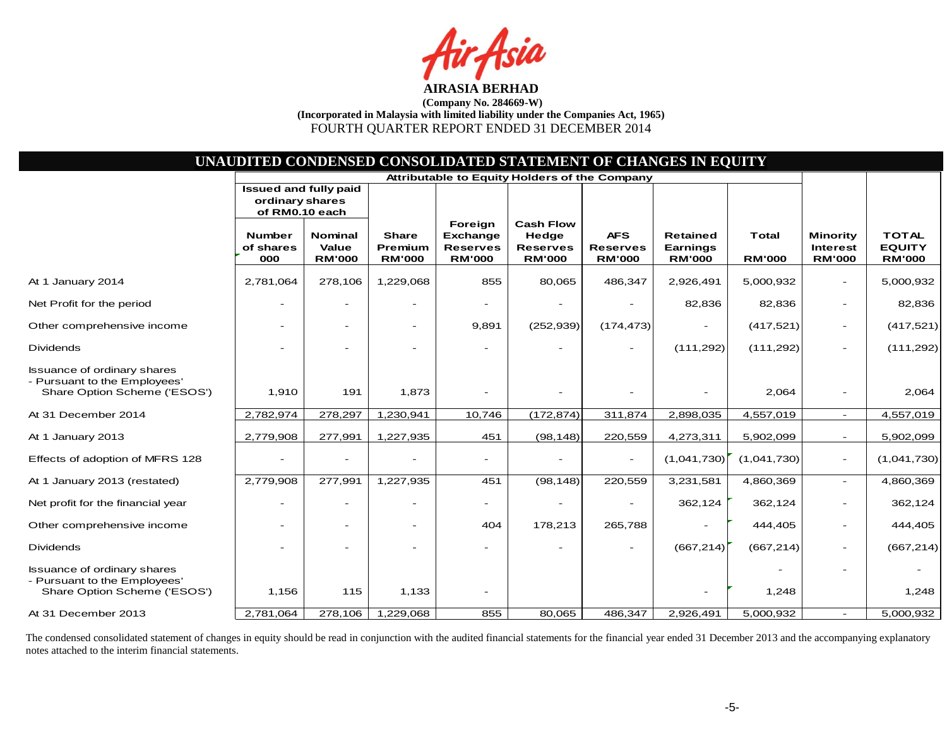sia

|                                                                                                    |                                                                   |                                                 |                                          |                                                                | UNAUDITED CONDENSED CONSOLIDATED STATEMENT OF CHANGES IN EQUITY |                                                |                                              |                               |                                                     |                                                |
|----------------------------------------------------------------------------------------------------|-------------------------------------------------------------------|-------------------------------------------------|------------------------------------------|----------------------------------------------------------------|-----------------------------------------------------------------|------------------------------------------------|----------------------------------------------|-------------------------------|-----------------------------------------------------|------------------------------------------------|
|                                                                                                    |                                                                   |                                                 |                                          |                                                                | Attributable to Equity Holders of the Company                   |                                                |                                              |                               |                                                     |                                                |
|                                                                                                    | <b>Issued and fully paid</b><br>ordinary shares<br>of RM0.10 each |                                                 |                                          |                                                                |                                                                 |                                                |                                              |                               |                                                     |                                                |
|                                                                                                    | <b>Number</b><br>of shares<br>000                                 | <b>Nominal</b><br><b>Value</b><br><b>RM'000</b> | <b>Share</b><br>Premium<br><b>RM'000</b> | Foreign<br><b>Exchange</b><br><b>Reserves</b><br><b>RM'000</b> | <b>Cash Flow</b><br>Hedge<br><b>Reserves</b><br><b>RM'000</b>   | <b>AFS</b><br><b>Reserves</b><br><b>RM'000</b> | Retained<br><b>Earnings</b><br><b>RM'000</b> | <b>Total</b><br><b>RM'000</b> | <b>Minority</b><br><b>Interest</b><br><b>RM'000</b> | <b>TOTAL</b><br><b>EQUITY</b><br><b>RM'000</b> |
| At 1 January 2014                                                                                  | 2,781,064                                                         | 278,106                                         | 1,229,068                                | 855                                                            | 80,065                                                          | 486,347                                        | 2,926,491                                    | 5,000,932                     |                                                     | 5,000,932                                      |
| Net Profit for the period                                                                          |                                                                   |                                                 |                                          |                                                                |                                                                 |                                                | 82,836                                       | 82,836                        |                                                     | 82,836                                         |
| Other comprehensive income                                                                         |                                                                   | $\overline{\phantom{0}}$                        |                                          | 9,891                                                          | (252, 939)                                                      | (174, 473)                                     |                                              | (417, 521)                    | $\overline{\phantom{a}}$                            | (417, 521)                                     |
| <b>Dividends</b>                                                                                   |                                                                   |                                                 |                                          |                                                                |                                                                 |                                                | (111, 292)                                   | (111, 292)                    | $\overline{a}$                                      | (111, 292)                                     |
| Issuance of ordinary shares<br>- Pursuant to the Employees'<br>Share Option Scheme ('ESOS')        | 1,910                                                             | 191                                             | 1,873                                    |                                                                |                                                                 |                                                |                                              | 2,064                         |                                                     | 2,064                                          |
| At 31 December 2014                                                                                | 2,782,974                                                         | 278,297                                         | 1,230,941                                | 10,746                                                         | (172, 874)                                                      | 311,874                                        | 2,898,035                                    | 4,557,019                     | $\overline{\phantom{a}}$                            | 4,557,019                                      |
| At 1 January 2013                                                                                  | 2,779,908                                                         | 277,991                                         | 1,227,935                                | 451                                                            | (98, 148)                                                       | 220,559                                        | 4,273,311                                    | 5,902,099                     | $\overline{\phantom{a}}$                            | 5,902,099                                      |
| Effects of adoption of MFRS 128                                                                    |                                                                   |                                                 |                                          |                                                                |                                                                 |                                                | (1,041,730)                                  | (1,041,730)                   | $\overline{\phantom{a}}$                            | (1,041,730)                                    |
| At 1 January 2013 (restated)                                                                       | 2,779,908                                                         | 277,991                                         | 1,227,935                                | 451                                                            | (98, 148)                                                       | 220,559                                        | 3,231,581                                    | 4,860,369                     | $\overline{\phantom{a}}$                            | 4,860,369                                      |
| Net profit for the financial year                                                                  |                                                                   | $\overline{\phantom{0}}$                        |                                          |                                                                |                                                                 |                                                | 362,124                                      | 362,124                       |                                                     | 362,124                                        |
| Other comprehensive income                                                                         |                                                                   | $\overline{\phantom{a}}$                        |                                          | 404                                                            | 178,213                                                         | 265,788                                        |                                              | 444,405                       |                                                     | 444,405                                        |
| <b>Dividends</b>                                                                                   |                                                                   |                                                 |                                          |                                                                |                                                                 |                                                | (667, 214)                                   | (667, 214)                    |                                                     | (667, 214)                                     |
| <b>Issuance of ordinary shares</b><br>- Pursuant to the Employees'<br>Share Option Scheme ('ESOS') | 1,156                                                             | 115                                             | 1,133                                    |                                                                |                                                                 |                                                |                                              | 1,248                         |                                                     | 1,248                                          |
| At 31 December 2013                                                                                | 2,781,064                                                         | 278,106                                         | 1,229,068                                | 855                                                            | 80,065                                                          | 486,347                                        | 2,926,491                                    | 5,000,932                     |                                                     | 5,000,932                                      |

The condensed consolidated statement of changes in equity should be read in conjunction with the audited financial statements for the financial year ended 31 December 2013 and the accompanying explanatory notes attached to the interim financial statements.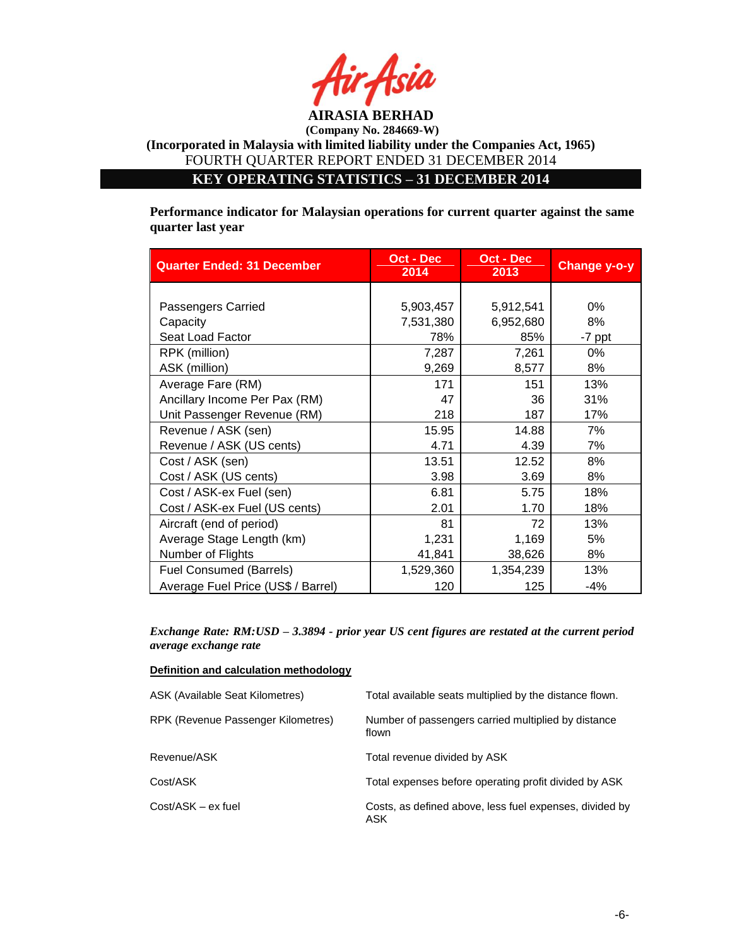

**KEY OPERATING STATISTICS – 31 DECEMBER 2014**

**Performance indicator for Malaysian operations for current quarter against the same quarter last year**

| <b>Quarter Ended: 31 December</b>  | Oct - Dec<br>2014 | Oct - Dec<br>2013 | <b>Change y-o-y</b> |
|------------------------------------|-------------------|-------------------|---------------------|
|                                    |                   |                   |                     |
| Passengers Carried                 | 5,903,457         | 5,912,541         | 0%                  |
| Capacity                           | 7,531,380         | 6,952,680         | 8%                  |
| Seat Load Factor                   | 78%               | 85%               | -7 ppt              |
| RPK (million)                      | 7,287             | 7,261             | 0%                  |
| ASK (million)                      | 9,269             | 8,577             | 8%                  |
| Average Fare (RM)                  | 171               | 151               | 13%                 |
| Ancillary Income Per Pax (RM)      | 47                | 36                | 31%                 |
| Unit Passenger Revenue (RM)        | 218               | 187               | 17%                 |
| Revenue / ASK (sen)                | 15.95             | 14.88             | 7%                  |
| Revenue / ASK (US cents)           | 4.71              | 4.39              | 7%                  |
| Cost / ASK (sen)                   | 13.51             | 12.52             | 8%                  |
| Cost / ASK (US cents)              | 3.98              | 3.69              | 8%                  |
| Cost / ASK-ex Fuel (sen)           | 6.81              | 5.75              | 18%                 |
| Cost / ASK-ex Fuel (US cents)      | 2.01              | 1.70              | 18%                 |
| Aircraft (end of period)           | 81                | 72                | 13%                 |
| Average Stage Length (km)          | 1,231             | 1,169             | 5%                  |
| Number of Flights                  | 41,841            | 38,626            | 8%                  |
| <b>Fuel Consumed (Barrels)</b>     | 1,529,360         | 1,354,239         | 13%                 |
| Average Fuel Price (US\$ / Barrel) | 120               | 125               | $-4%$               |

*Exchange Rate: RM:USD – 3.3894 - prior year US cent figures are restated at the current period average exchange rate*

| Definition and calculation methodology |                                                                |
|----------------------------------------|----------------------------------------------------------------|
| ASK (Available Seat Kilometres)        | Total available seats multiplied by the distance flown.        |
| RPK (Revenue Passenger Kilometres)     | Number of passengers carried multiplied by distance<br>flown   |
| Revenue/ASK                            | Total revenue divided by ASK                                   |
| Cost/ASK                               | Total expenses before operating profit divided by ASK          |
| Cost/ASK – ex fuel                     | Costs, as defined above, less fuel expenses, divided by<br>ASK |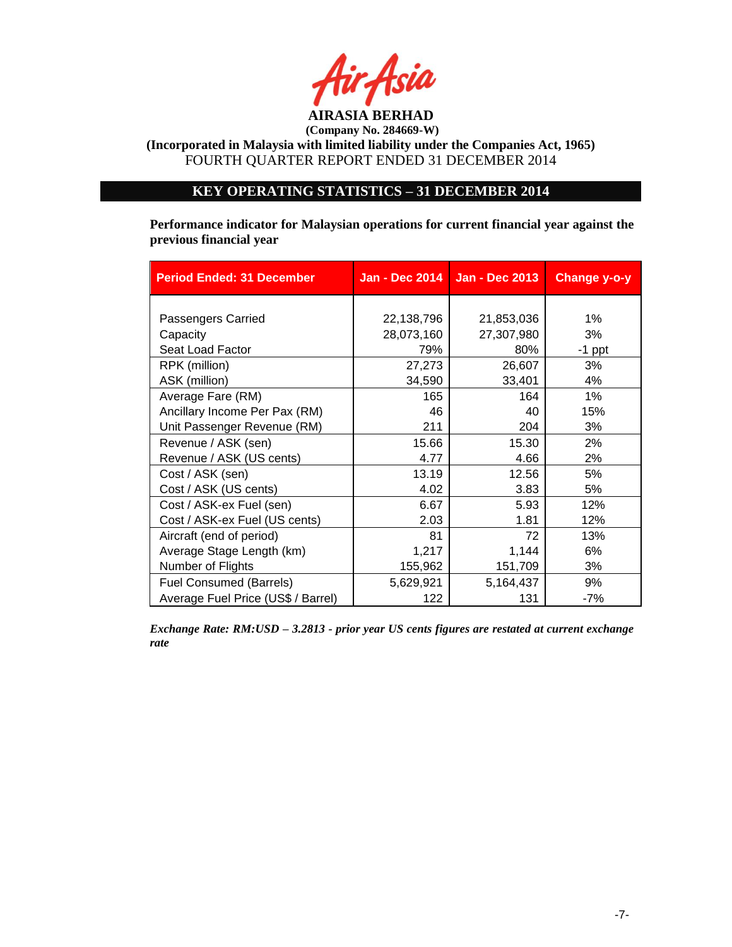

**(Incorporated in Malaysia with limited liability under the Companies Act, 1965)** FOURTH QUARTER REPORT ENDED 31 DECEMBER 2014

# **KEY OPERATING STATISTICS – 31 DECEMBER 2014**

**Performance indicator for Malaysian operations for current financial year against the previous financial year** 

| <b>Period Ended: 31 December</b>   |            | Jan - Dec 2014   Jan - Dec 2013 | Change y-o-y |
|------------------------------------|------------|---------------------------------|--------------|
|                                    |            |                                 |              |
| Passengers Carried                 | 22,138,796 | 21,853,036                      | $1\%$        |
| Capacity                           | 28,073,160 | 27,307,980                      | 3%           |
| Seat Load Factor                   | 79%        | 80%                             | $-1$ ppt     |
| RPK (million)                      | 27,273     | 26,607                          | 3%           |
| ASK (million)                      | 34,590     | 33,401                          | 4%           |
| Average Fare (RM)                  | 165        | 164                             | $1\%$        |
| Ancillary Income Per Pax (RM)      | 46         | 40                              | 15%          |
| Unit Passenger Revenue (RM)        | 211        | 204                             | 3%           |
| Revenue / ASK (sen)                | 15.66      | 15.30                           | 2%           |
| Revenue / ASK (US cents)           | 4.77       | 4.66                            | 2%           |
| Cost / ASK (sen)                   | 13.19      | 12.56                           | 5%           |
| Cost / ASK (US cents)              | 4.02       | 3.83                            | 5%           |
| Cost / ASK-ex Fuel (sen)           | 6.67       | 5.93                            | 12%          |
| Cost / ASK-ex Fuel (US cents)      | 2.03       | 1.81                            | 12%          |
| Aircraft (end of period)           | 81         | 72                              | 13%          |
| Average Stage Length (km)          | 1,217      | 1,144                           | 6%           |
| Number of Flights                  | 155,962    | 151,709                         | 3%           |
| <b>Fuel Consumed (Barrels)</b>     | 5,629,921  | 5,164,437                       | 9%           |
| Average Fuel Price (US\$ / Barrel) | 122        | 131                             | $-7%$        |

*Exchange Rate: RM:USD – 3.2813 - prior year US cents figures are restated at current exchange rate*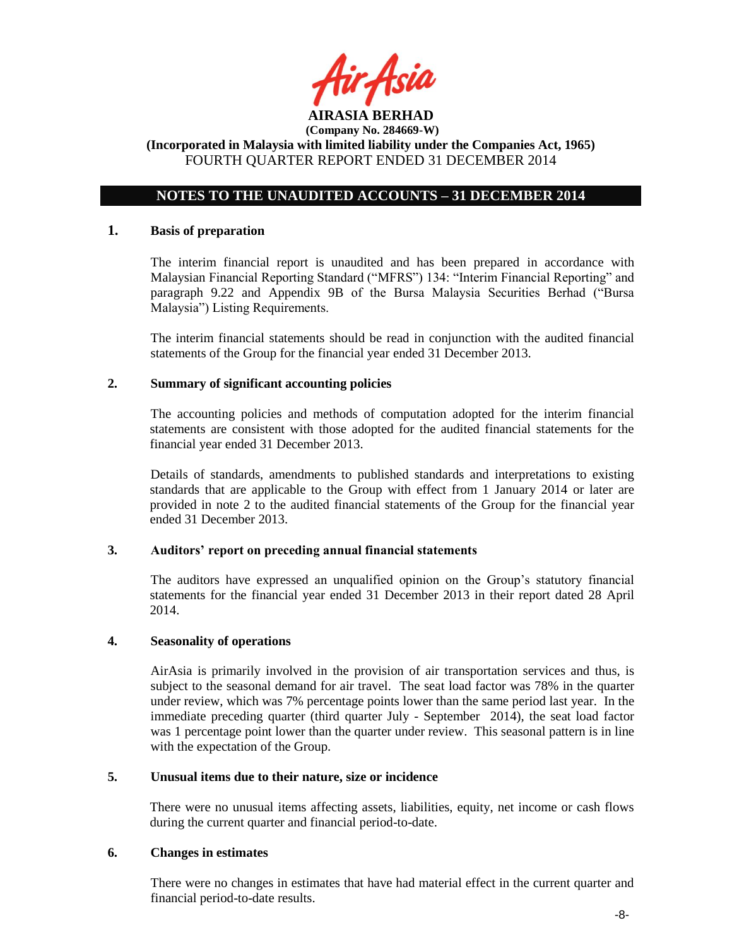

### **NOTES TO THE UNAUDITED ACCOUNTS – 31 DECEMBER 2014**

#### **1. Basis of preparation**

The interim financial report is unaudited and has been prepared in accordance with Malaysian Financial Reporting Standard ("MFRS") 134: "Interim Financial Reporting" and paragraph 9.22 and Appendix 9B of the Bursa Malaysia Securities Berhad ("Bursa Malaysia") Listing Requirements.

The interim financial statements should be read in conjunction with the audited financial statements of the Group for the financial year ended 31 December 2013.

### **2. Summary of significant accounting policies**

The accounting policies and methods of computation adopted for the interim financial statements are consistent with those adopted for the audited financial statements for the financial year ended 31 December 2013.

Details of standards, amendments to published standards and interpretations to existing standards that are applicable to the Group with effect from 1 January 2014 or later are provided in note 2 to the audited financial statements of the Group for the financial year ended 31 December 2013.

#### **3. Auditors' report on preceding annual financial statements**

The auditors have expressed an unqualified opinion on the Group's statutory financial statements for the financial year ended 31 December 2013 in their report dated 28 April 2014.

#### **4. Seasonality of operations**

AirAsia is primarily involved in the provision of air transportation services and thus, is subject to the seasonal demand for air travel. The seat load factor was 78% in the quarter under review, which was 7% percentage points lower than the same period last year. In the immediate preceding quarter (third quarter July - September 2014), the seat load factor was 1 percentage point lower than the quarter under review. This seasonal pattern is in line with the expectation of the Group.

#### **5. Unusual items due to their nature, size or incidence**

There were no unusual items affecting assets, liabilities, equity, net income or cash flows during the current quarter and financial period-to-date.

#### **6. Changes in estimates**

There were no changes in estimates that have had material effect in the current quarter and financial period-to-date results.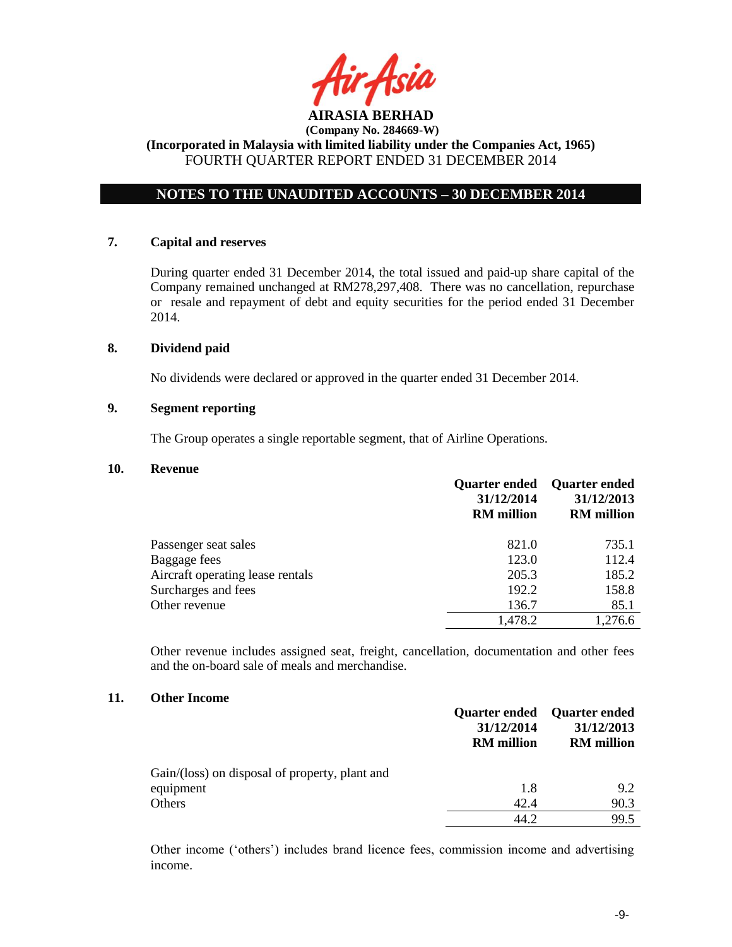

# **NOTES TO THE UNAUDITED ACCOUNTS – 30 DECEMBER 2014**

#### **7. Capital and reserves**

During quarter ended 31 December 2014, the total issued and paid-up share capital of the Company remained unchanged at RM278,297,408. There was no cancellation, repurchase or resale and repayment of debt and equity securities for the period ended 31 December 2014.

#### **8. Dividend paid**

No dividends were declared or approved in the quarter ended 31 December 2014.

### **9. Segment reporting**

The Group operates a single reportable segment, that of Airline Operations.

#### **10. Revenue**

|                                  | <b>Quarter ended</b><br>31/12/2014<br><b>RM</b> million | <b>Quarter ended</b><br>31/12/2013<br><b>RM</b> million |
|----------------------------------|---------------------------------------------------------|---------------------------------------------------------|
| Passenger seat sales             | 821.0                                                   | 735.1                                                   |
| Baggage fees                     | 123.0                                                   | 112.4                                                   |
| Aircraft operating lease rentals | 205.3                                                   | 185.2                                                   |
| Surcharges and fees              | 192.2                                                   | 158.8                                                   |
| Other revenue                    | 136.7                                                   | 85.1                                                    |
|                                  | 1,478.2                                                 | 1,276.6                                                 |
|                                  |                                                         |                                                         |

Other revenue includes assigned seat, freight, cancellation, documentation and other fees and the on-board sale of meals and merchandise.

#### **11. Other Income**

|                                                | 31/12/2014<br><b>RM</b> million | <b>Quarter ended</b> Quarter ended<br>31/12/2013<br><b>RM</b> million |
|------------------------------------------------|---------------------------------|-----------------------------------------------------------------------|
| Gain/(loss) on disposal of property, plant and |                                 |                                                                       |
| equipment                                      | 1.8                             | 9.2                                                                   |
| Others                                         | 42.4                            | 90.3                                                                  |
|                                                | 44 2.                           | 99.5                                                                  |

Other income ('others') includes brand licence fees, commission income and advertising income.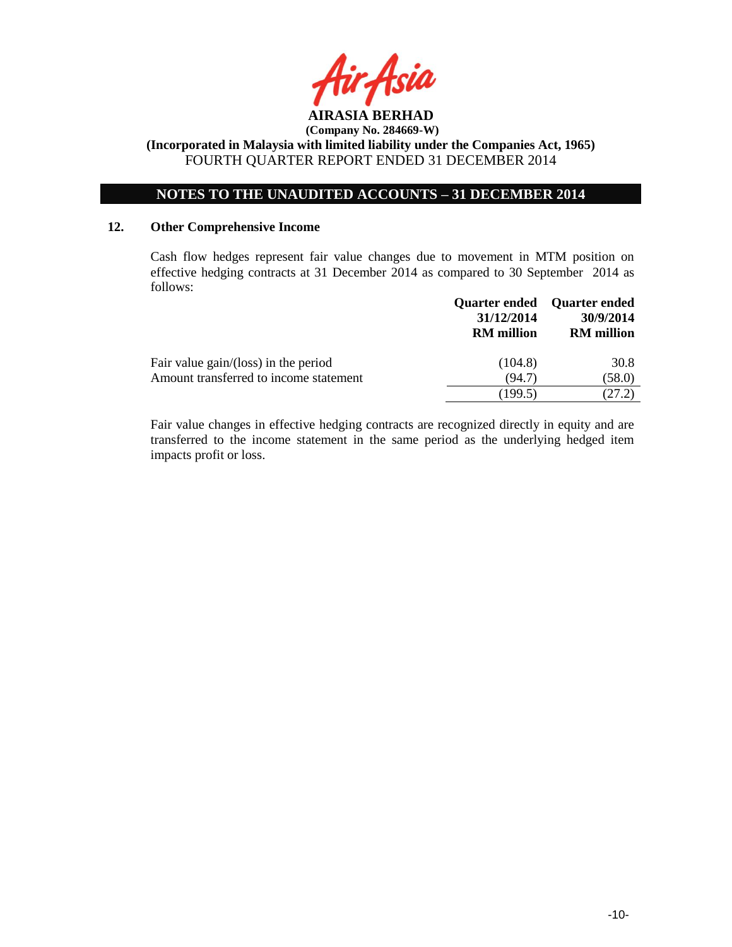

# **NOTES TO THE UNAUDITED ACCOUNTS – 31 DECEMBER 2014**

### **12. Other Comprehensive Income**

Cash flow hedges represent fair value changes due to movement in MTM position on effective hedging contracts at 31 December 2014 as compared to 30 September 2014 as follows:

|                                        | 31/12/2014<br><b>RM</b> million | Quarter ended Quarter ended<br>30/9/2014<br><b>RM</b> million |
|----------------------------------------|---------------------------------|---------------------------------------------------------------|
| Fair value gain/(loss) in the period   | (104.8)                         | 30.8                                                          |
| Amount transferred to income statement | (94.7)                          | (58.0)                                                        |
|                                        | (199.5)                         | (27.2)                                                        |

Fair value changes in effective hedging contracts are recognized directly in equity and are transferred to the income statement in the same period as the underlying hedged item impacts profit or loss.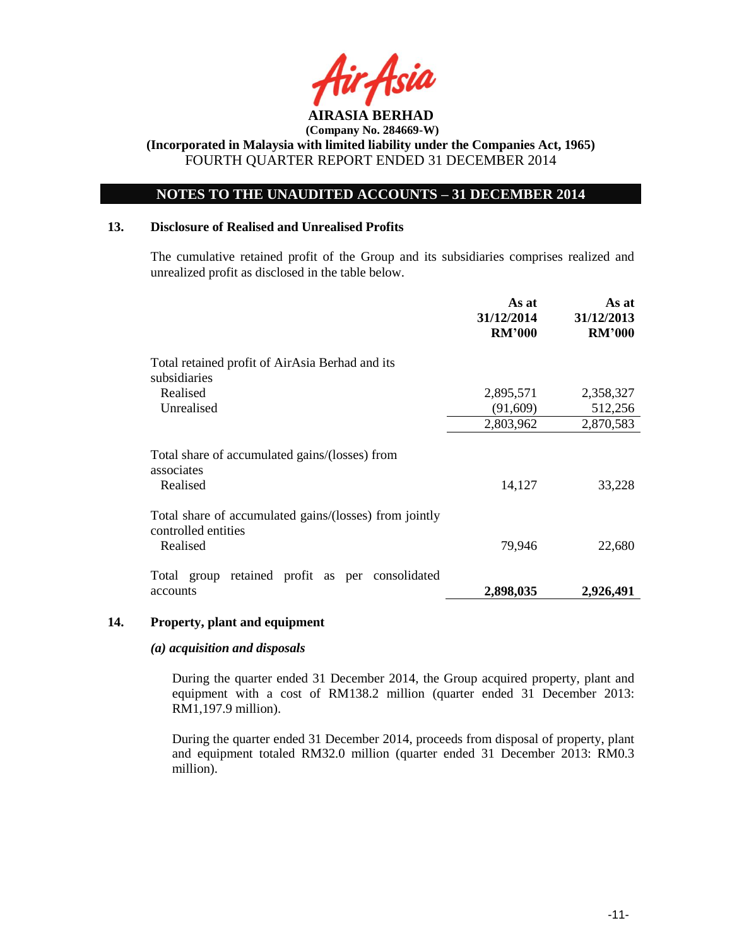

# **NOTES TO THE UNAUDITED ACCOUNTS – 31 DECEMBER 2014**

### **13. Disclosure of Realised and Unrealised Profits**

The cumulative retained profit of the Group and its subsidiaries comprises realized and unrealized profit as disclosed in the table below.

|                                                                                           | As at<br>31/12/2014<br><b>RM'000</b> | As at<br>31/12/2013<br><b>RM'000</b> |
|-------------------------------------------------------------------------------------------|--------------------------------------|--------------------------------------|
| Total retained profit of AirAsia Berhad and its<br>subsidiaries                           |                                      |                                      |
| Realised<br>Unrealised                                                                    | 2,895,571<br>(91,609)                | 2,358,327<br>512,256                 |
|                                                                                           | 2,803,962                            | 2,870,583                            |
| Total share of accumulated gains/(losses) from<br>associates<br>Realised                  | 14,127                               | 33,228                               |
| Total share of accumulated gains/(losses) from jointly<br>controlled entities<br>Realised | 79,946                               | 22,680                               |
| Total group retained profit as per consolidated<br>accounts                               | 2,898,035                            | 2,926,491                            |

#### **14. Property, plant and equipment**

#### *(a) acquisition and disposals*

During the quarter ended 31 December 2014, the Group acquired property, plant and equipment with a cost of RM138.2 million (quarter ended 31 December 2013: RM1,197.9 million).

During the quarter ended 31 December 2014, proceeds from disposal of property, plant and equipment totaled RM32.0 million (quarter ended 31 December 2013: RM0.3 million).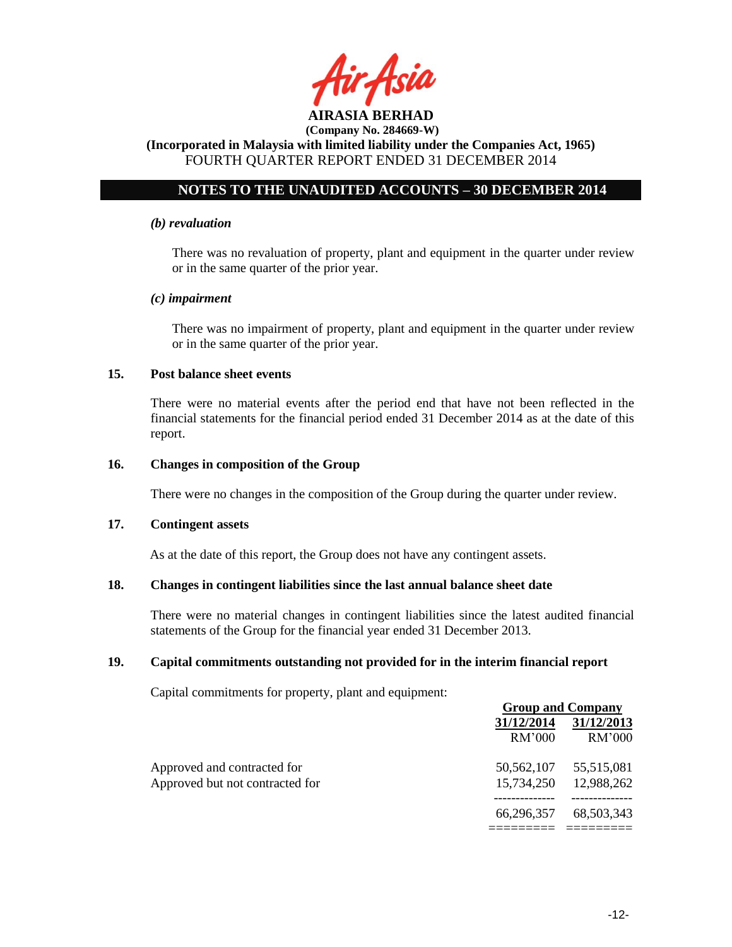

# **NOTES TO THE UNAUDITED ACCOUNTS – 30 DECEMBER 2014**

#### *(b) revaluation*

There was no revaluation of property, plant and equipment in the quarter under review or in the same quarter of the prior year.

#### *(c) impairment*

There was no impairment of property, plant and equipment in the quarter under review or in the same quarter of the prior year.

### **15. Post balance sheet events**

There were no material events after the period end that have not been reflected in the financial statements for the financial period ended 31 December 2014 as at the date of this report.

#### **16. Changes in composition of the Group**

There were no changes in the composition of the Group during the quarter under review.

#### **17. Contingent assets**

As at the date of this report, the Group does not have any contingent assets.

#### **18. Changes in contingent liabilities since the last annual balance sheet date**

There were no material changes in contingent liabilities since the latest audited financial statements of the Group for the financial year ended 31 December 2013.

### **19. Capital commitments outstanding not provided for in the interim financial report**

Capital commitments for property, plant and equipment:

|                                 |            | <b>Group and Company</b> |  |
|---------------------------------|------------|--------------------------|--|
|                                 | 31/12/2014 | 31/12/2013               |  |
|                                 | RM'000     | RM'000                   |  |
| Approved and contracted for     | 50.562.107 | 55,515,081               |  |
| Approved but not contracted for | 15,734,250 | 12,988,262               |  |
|                                 | 66.296.357 | 68,503,343               |  |
|                                 |            |                          |  |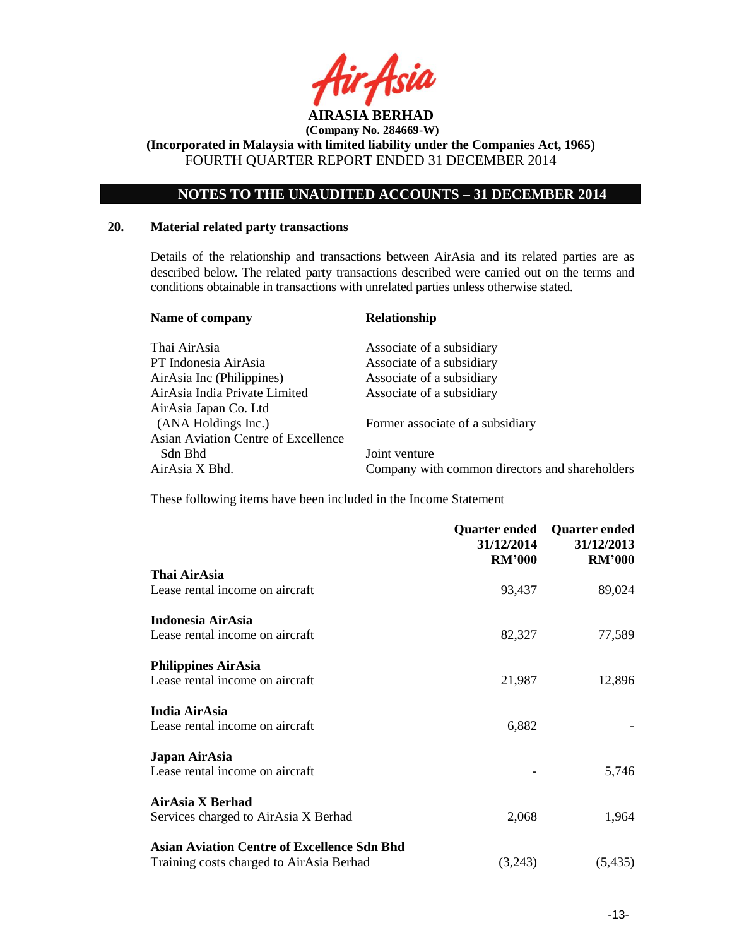

**(Incorporated in Malaysia with limited liability under the Companies Act, 1965)** FOURTH QUARTER REPORT ENDED 31 DECEMBER 2014

# **NOTES TO THE UNAUDITED ACCOUNTS – 31 DECEMBER 2014**

### **20. Material related party transactions**

Details of the relationship and transactions between AirAsia and its related parties are as described below. The related party transactions described were carried out on the terms and conditions obtainable in transactions with unrelated parties unless otherwise stated.

| Name of company                     | <b>Relationship</b>                            |
|-------------------------------------|------------------------------------------------|
| Thai AirAsia                        | Associate of a subsidiary                      |
| PT Indonesia AirAsia                | Associate of a subsidiary                      |
| AirAsia Inc (Philippines)           | Associate of a subsidiary                      |
| AirAsia India Private Limited       | Associate of a subsidiary                      |
| AirAsia Japan Co. Ltd               |                                                |
| (ANA Holdings Inc.)                 | Former associate of a subsidiary               |
| Asian Aviation Centre of Excellence |                                                |
| Sdn Bhd                             | Joint venture                                  |
| AirAsia X Bhd.                      | Company with common directors and shareholders |

These following items have been included in the Income Statement

|                                                    | <b>Quarter ended</b><br>31/12/2014<br><b>RM'000</b> | <b>Quarter ended</b><br>31/12/2013<br><b>RM'000</b> |
|----------------------------------------------------|-----------------------------------------------------|-----------------------------------------------------|
| Thai AirAsia                                       |                                                     |                                                     |
| Lease rental income on aircraft                    | 93,437                                              | 89,024                                              |
| Indonesia AirAsia                                  |                                                     |                                                     |
| Lease rental income on aircraft                    | 82,327                                              | 77,589                                              |
| <b>Philippines AirAsia</b>                         |                                                     |                                                     |
| Lease rental income on aircraft                    | 21,987                                              | 12,896                                              |
| India AirAsia                                      |                                                     |                                                     |
| Lease rental income on aircraft                    | 6,882                                               |                                                     |
| Japan AirAsia                                      |                                                     |                                                     |
| Lease rental income on aircraft                    |                                                     | 5,746                                               |
| AirAsia X Berhad                                   |                                                     |                                                     |
| Services charged to AirAsia X Berhad               | 2,068                                               | 1,964                                               |
| <b>Asian Aviation Centre of Excellence Sdn Bhd</b> |                                                     |                                                     |
| Training costs charged to AirAsia Berhad           | (3,243)                                             | (5, 435)                                            |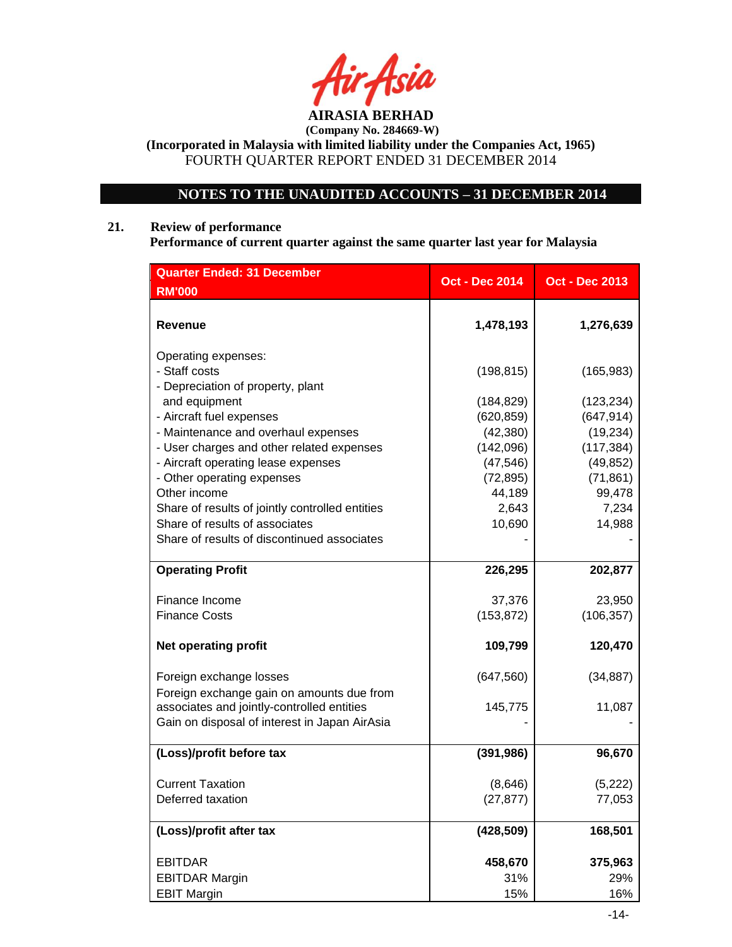

# **NOTES TO THE UNAUDITED ACCOUNTS – 31 DECEMBER 2014**

# **21. Review of performance**

**Performance of current quarter against the same quarter last year for Malaysia**

| <b>Quarter Ended: 31 December</b>                                                                 | <b>Oct - Dec 2014</b>     | <b>Oct - Dec 2013</b>     |
|---------------------------------------------------------------------------------------------------|---------------------------|---------------------------|
| <b>RM'000</b>                                                                                     |                           |                           |
| Revenue                                                                                           | 1,478,193                 | 1,276,639                 |
| Operating expenses:<br>- Staff costs<br>- Depreciation of property, plant                         | (198, 815)                | (165, 983)                |
| and equipment<br>- Aircraft fuel expenses                                                         | (184, 829)<br>(620, 859)  | (123, 234)<br>(647, 914)  |
| - Maintenance and overhaul expenses<br>- User charges and other related expenses                  | (42, 380)<br>(142,096)    | (19, 234)<br>(117, 384)   |
| - Aircraft operating lease expenses<br>- Other operating expenses                                 | (47, 546)<br>(72, 895)    | (49, 852)<br>(71, 861)    |
| Other income<br>Share of results of jointly controlled entities<br>Share of results of associates | 44,189<br>2,643<br>10,690 | 99,478<br>7,234<br>14,988 |
| Share of results of discontinued associates                                                       |                           |                           |
| <b>Operating Profit</b>                                                                           | 226,295                   | 202,877                   |
| Finance Income                                                                                    | 37,376                    | 23,950                    |
| <b>Finance Costs</b>                                                                              | (153, 872)                | (106, 357)                |
| <b>Net operating profit</b>                                                                       | 109,799                   | 120,470                   |
| Foreign exchange losses<br>Foreign exchange gain on amounts due from                              | (647, 560)                | (34, 887)                 |
| associates and jointly-controlled entities<br>Gain on disposal of interest in Japan AirAsia       | 145,775                   | 11,087                    |
| (Loss)/profit before tax                                                                          | (391, 986)                | 96,670                    |
| <b>Current Taxation</b><br>Deferred taxation                                                      | (8,646)<br>(27, 877)      | (5,222)<br>77,053         |
|                                                                                                   |                           |                           |
| (Loss)/profit after tax                                                                           | (428, 509)                | 168,501                   |
| <b>EBITDAR</b>                                                                                    | 458,670                   | 375,963                   |
| <b>EBITDAR Margin</b>                                                                             | 31%                       | 29%                       |
| <b>EBIT Margin</b>                                                                                | 15%                       | 16%                       |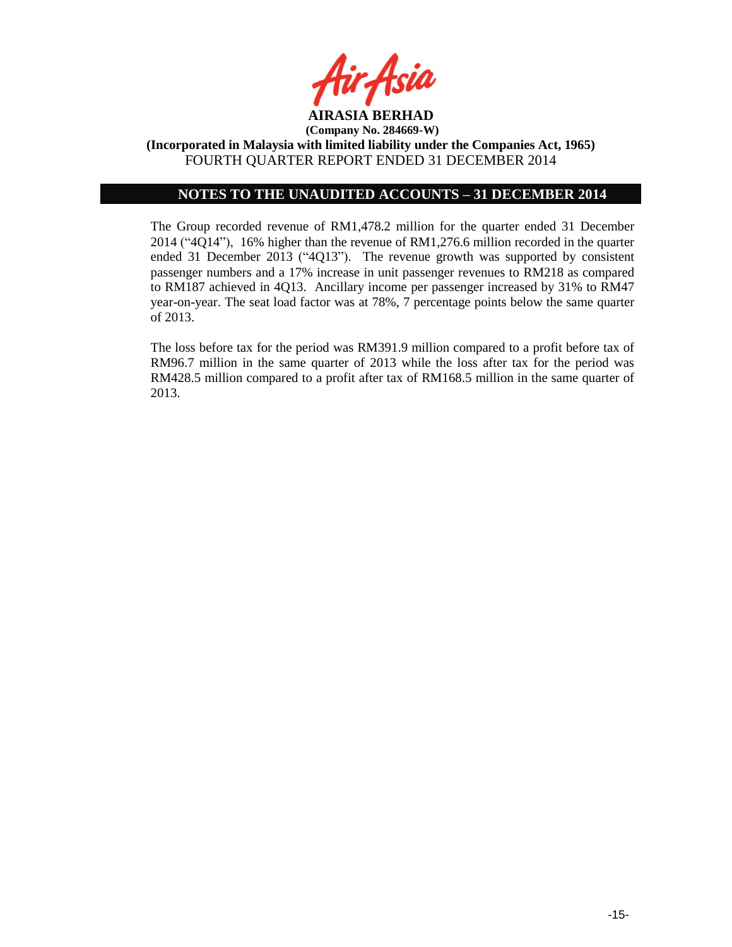

### **NOTES TO THE UNAUDITED ACCOUNTS – 31 DECEMBER 2014**

The Group recorded revenue of RM1,478.2 million for the quarter ended 31 December 2014 ("4Q14"), 16% higher than the revenue of RM1,276.6 million recorded in the quarter ended 31 December 2013 ("4Q13"). The revenue growth was supported by consistent passenger numbers and a 17% increase in unit passenger revenues to RM218 as compared to RM187 achieved in 4Q13. Ancillary income per passenger increased by 31% to RM47 year-on-year. The seat load factor was at 78%, 7 percentage points below the same quarter of 2013.

The loss before tax for the period was RM391.9 million compared to a profit before tax of RM96.7 million in the same quarter of 2013 while the loss after tax for the period was RM428.5 million compared to a profit after tax of RM168.5 million in the same quarter of 2013.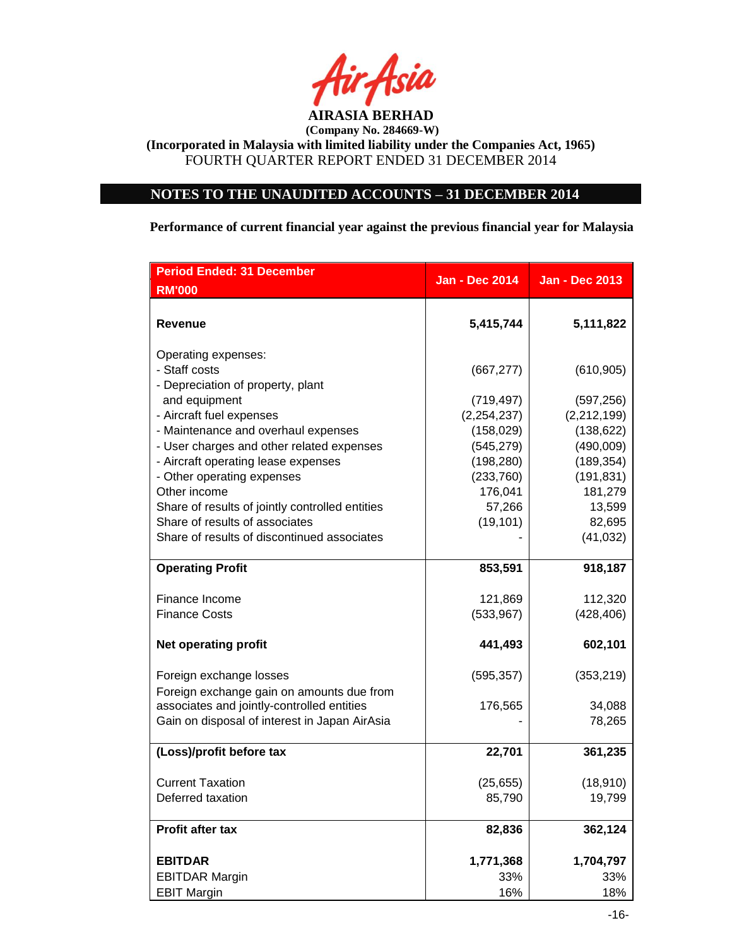

# **NOTES TO THE UNAUDITED ACCOUNTS – 31 DECEMBER 2014**

**Performance of current financial year against the previous financial year for Malaysia**

| <b>Period Ended: 31 December</b>                                                        | <b>Jan - Dec 2014</b>       | <b>Jan - Dec 2013</b>       |
|-----------------------------------------------------------------------------------------|-----------------------------|-----------------------------|
| <b>RM'000</b>                                                                           |                             |                             |
| <b>Revenue</b>                                                                          | 5,415,744                   | 5,111,822                   |
| Operating expenses:<br>- Staff costs<br>- Depreciation of property, plant               | (667, 277)                  | (610, 905)                  |
| and equipment                                                                           | (719, 497)                  | (597, 256)                  |
| - Aircraft fuel expenses<br>- Maintenance and overhaul expenses                         | (2, 254, 237)<br>(158, 029) | (2, 212, 199)<br>(138, 622) |
| - User charges and other related expenses                                               | (545, 279)                  | (490,009)                   |
| - Aircraft operating lease expenses                                                     | (198, 280)                  | (189, 354)                  |
| - Other operating expenses                                                              | (233, 760)                  | (191, 831)                  |
| Other income                                                                            | 176,041                     | 181,279                     |
| Share of results of jointly controlled entities                                         | 57,266                      | 13,599                      |
| Share of results of associates                                                          | (19, 101)                   | 82,695                      |
| Share of results of discontinued associates                                             |                             | (41, 032)                   |
| <b>Operating Profit</b>                                                                 | 853,591                     | 918,187                     |
| Finance Income                                                                          | 121,869                     | 112,320                     |
| <b>Finance Costs</b>                                                                    | (533, 967)                  | (428, 406)                  |
| <b>Net operating profit</b>                                                             | 441,493                     | 602,101                     |
| Foreign exchange losses                                                                 | (595, 357)                  | (353, 219)                  |
| Foreign exchange gain on amounts due from<br>associates and jointly-controlled entities | 176,565                     | 34,088                      |
| Gain on disposal of interest in Japan AirAsia                                           |                             | 78,265                      |
|                                                                                         |                             |                             |
| (Loss)/profit before tax                                                                | 22,701                      | 361,235                     |
| <b>Current Taxation</b>                                                                 | (25, 655)                   | (18, 910)                   |
| Deferred taxation                                                                       | 85,790                      | 19,799                      |
| Profit after tax                                                                        | 82,836                      | 362,124                     |
| <b>EBITDAR</b>                                                                          | 1,771,368                   | 1,704,797                   |
| <b>EBITDAR Margin</b>                                                                   | 33%                         | 33%                         |
| <b>EBIT Margin</b>                                                                      | 16%                         | 18%                         |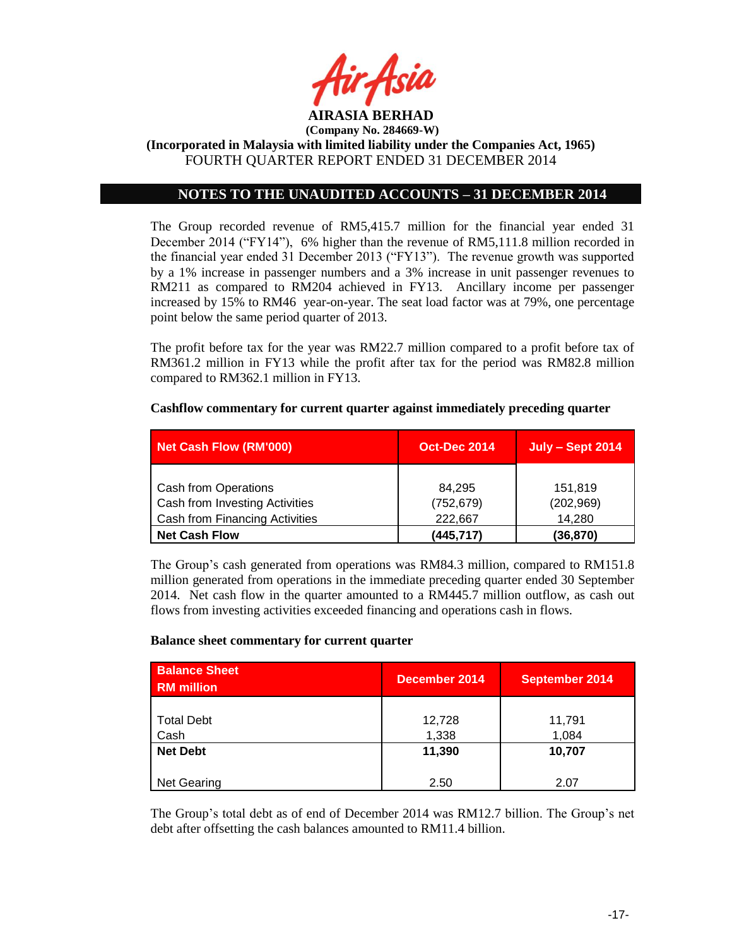

# **NOTES TO THE UNAUDITED ACCOUNTS – 31 DECEMBER 2014**

The Group recorded revenue of RM5,415.7 million for the financial year ended 31 December 2014 ("FY14"), 6% higher than the revenue of RM5,111.8 million recorded in the financial year ended 31 December 2013 ("FY13"). The revenue growth was supported by a 1% increase in passenger numbers and a 3% increase in unit passenger revenues to RM211 as compared to RM204 achieved in FY13. Ancillary income per passenger increased by 15% to RM46 year-on-year. The seat load factor was at 79%, one percentage point below the same period quarter of 2013.

The profit before tax for the year was RM22.7 million compared to a profit before tax of RM361.2 million in FY13 while the profit after tax for the period was RM82.8 million compared to RM362.1 million in FY13.

### **Cashflow commentary for current quarter against immediately preceding quarter**

| Net Cash Flow (RM'000)         | <b>Oct-Dec 2014</b> | <b>July - Sept 2014</b> |
|--------------------------------|---------------------|-------------------------|
|                                |                     |                         |
| <b>Cash from Operations</b>    | 84.295              | 151,819                 |
| Cash from Investing Activities | (752, 679)          | (202, 969)              |
| Cash from Financing Activities | 222.667             | 14.280                  |
| <b>Net Cash Flow</b>           | (445, 717)          | (36, 870)               |

The Group's cash generated from operations was RM84.3 million, compared to RM151.8 million generated from operations in the immediate preceding quarter ended 30 September 2014. Net cash flow in the quarter amounted to a RM445.7 million outflow, as cash out flows from investing activities exceeded financing and operations cash in flows.

#### **Balance sheet commentary for current quarter**

| <b>Balance Sheet</b><br><b>RM</b> million | December 2014 | <b>September 2014</b> |
|-------------------------------------------|---------------|-----------------------|
|                                           |               |                       |
| <b>Total Debt</b>                         | 12,728        | 11,791                |
| Cash                                      | 1,338         | 1,084                 |
| <b>Net Debt</b>                           | 11,390        | 10,707                |
|                                           |               |                       |
| Net Gearing                               | 2.50          | 2.07                  |

The Group's total debt as of end of December 2014 was RM12.7 billion. The Group's net debt after offsetting the cash balances amounted to RM11.4 billion.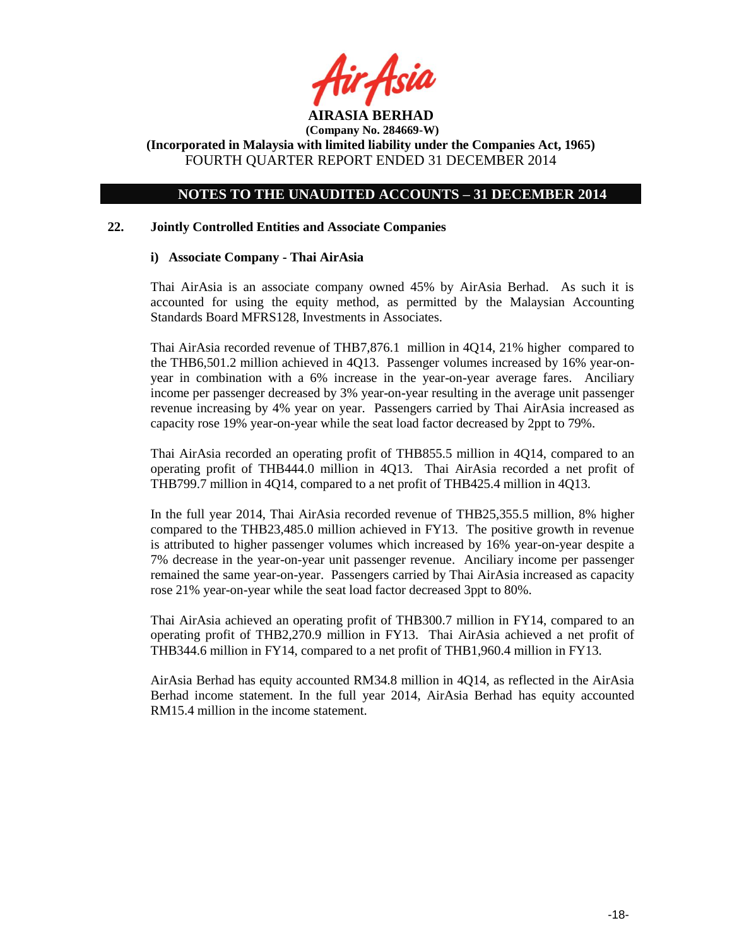

**(Company No. 284669-W) (Incorporated in Malaysia with limited liability under the Companies Act, 1965)**

FOURTH QUARTER REPORT ENDED 31 DECEMBER 2014

# **NOTES TO THE UNAUDITED ACCOUNTS – 31 DECEMBER 2014**

### **22. Jointly Controlled Entities and Associate Companies**

### **i) Associate Company - Thai AirAsia**

Thai AirAsia is an associate company owned 45% by AirAsia Berhad. As such it is accounted for using the equity method, as permitted by the Malaysian Accounting Standards Board MFRS128, Investments in Associates.

Thai AirAsia recorded revenue of THB7,876.1 million in 4Q14, 21% higher compared to the THB6,501.2 million achieved in 4Q13. Passenger volumes increased by 16% year-onyear in combination with a 6% increase in the year-on-year average fares. Anciliary income per passenger decreased by 3% year-on-year resulting in the average unit passenger revenue increasing by 4% year on year. Passengers carried by Thai AirAsia increased as capacity rose 19% year-on-year while the seat load factor decreased by 2ppt to 79%.

Thai AirAsia recorded an operating profit of THB855.5 million in 4Q14, compared to an operating profit of THB444.0 million in 4Q13. Thai AirAsia recorded a net profit of THB799.7 million in 4Q14, compared to a net profit of THB425.4 million in 4Q13.

In the full year 2014, Thai AirAsia recorded revenue of THB25,355.5 million, 8% higher compared to the THB23,485.0 million achieved in FY13. The positive growth in revenue is attributed to higher passenger volumes which increased by 16% year-on-year despite a 7% decrease in the year-on-year unit passenger revenue. Anciliary income per passenger remained the same year-on-year. Passengers carried by Thai AirAsia increased as capacity rose 21% year-on-year while the seat load factor decreased 3ppt to 80%.

Thai AirAsia achieved an operating profit of THB300.7 million in FY14, compared to an operating profit of THB2,270.9 million in FY13. Thai AirAsia achieved a net profit of THB344.6 million in FY14, compared to a net profit of THB1,960.4 million in FY13.

AirAsia Berhad has equity accounted RM34.8 million in 4Q14, as reflected in the AirAsia Berhad income statement. In the full year 2014, AirAsia Berhad has equity accounted RM15.4 million in the income statement.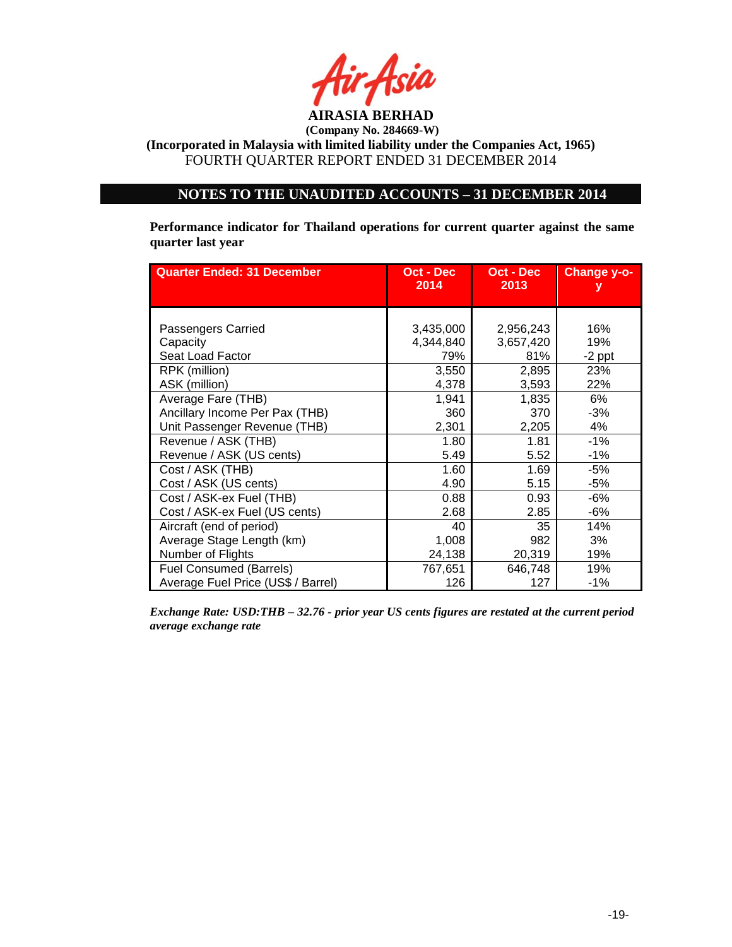

# **NOTES TO THE UNAUDITED ACCOUNTS – 31 DECEMBER 2014**

**Performance indicator for Thailand operations for current quarter against the same quarter last year**

| <b>Quarter Ended: 31 December</b>                  | Oct - Dec<br>2014             | Oct - Dec<br>2013             | <b>Change y-o-</b>     |
|----------------------------------------------------|-------------------------------|-------------------------------|------------------------|
| Passengers Carried<br>Capacity<br>Seat Load Factor | 3,435,000<br>4,344,840<br>79% | 2,956,243<br>3,657,420<br>81% | 16%<br>19%             |
| RPK (million)<br>ASK (million)                     | 3,550<br>4,378                | 2,895<br>3,593                | $-2$ ppt<br>23%<br>22% |
| Average Fare (THB)                                 | 1,941                         | 1,835                         | 6%                     |
| Ancillary Income Per Pax (THB)                     | 360                           | 370                           | -3%                    |
| Unit Passenger Revenue (THB)                       | 2,301                         | 2,205                         | 4%                     |
| Revenue / ASK (THB)                                | 1.80                          | 1.81                          | $-1%$                  |
| Revenue / ASK (US cents)                           | 5.49                          | 5.52                          | $-1%$                  |
| Cost / ASK (THB)                                   | 1.60                          | 1.69                          | $-5%$                  |
| Cost / ASK (US cents)                              | 4.90                          | 5.15                          | $-5%$                  |
| Cost / ASK-ex Fuel (THB)                           | 0.88                          | 0.93                          | $-6%$                  |
| Cost / ASK-ex Fuel (US cents)                      | 2.68                          | 2.85                          | -6%                    |
| Aircraft (end of period)                           | 40                            | 35                            | 14%                    |
| Average Stage Length (km)                          | 1,008                         | 982                           | 3%                     |
| Number of Flights                                  | 24,138                        | 20,319                        | 19%                    |
| <b>Fuel Consumed (Barrels)</b>                     | 767,651                       | 646,748                       | 19%                    |
| Average Fuel Price (US\$ / Barrel)                 | 126                           | 127                           | $-1%$                  |

*Exchange Rate: USD:THB – 32.76 - prior year US cents figures are restated at the current period average exchange rate*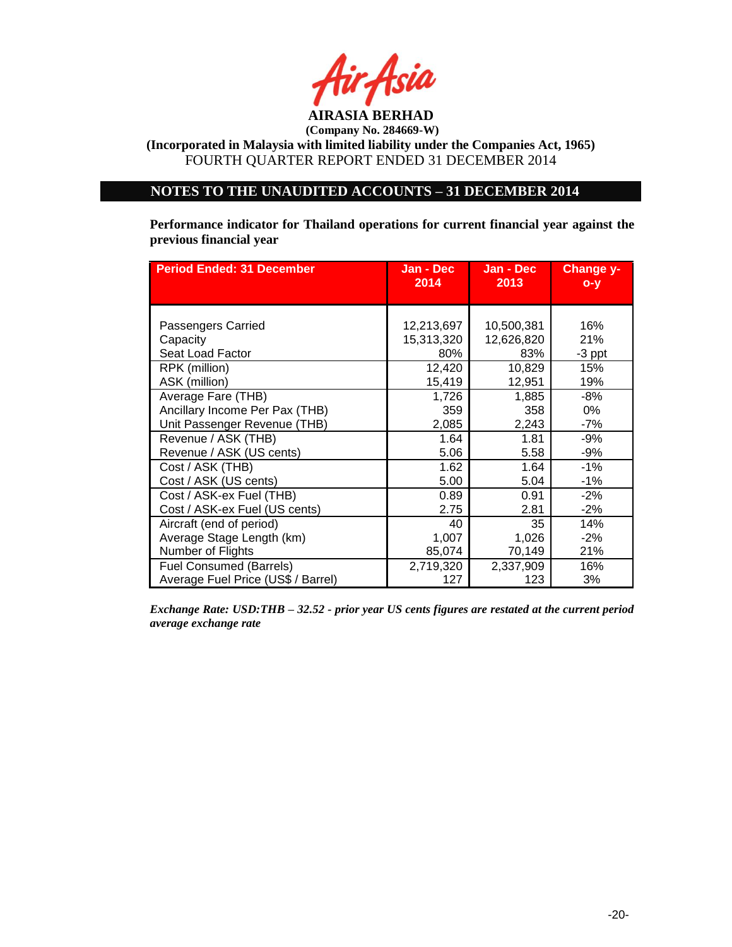

# **NOTES TO THE UNAUDITED ACCOUNTS – 31 DECEMBER 2014**

**Performance indicator for Thailand operations for current financial year against the previous financial year**

| <b>Period Ended: 31 December</b>   | Jan - Dec<br>2014 | Jan - Dec<br>2013 | Change y-<br>$O - Y$ |
|------------------------------------|-------------------|-------------------|----------------------|
|                                    |                   |                   |                      |
| Passengers Carried                 | 12,213,697        | 10,500,381        | 16%                  |
| Capacity                           | 15,313,320        | 12,626,820        | 21%                  |
| Seat Load Factor                   | 80%               | 83%               | $-3$ ppt             |
| RPK (million)                      | 12,420            | 10,829            | 15%                  |
| ASK (million)                      | 15,419            | 12,951            | 19%                  |
| Average Fare (THB)                 | 1,726             | 1,885             | -8%                  |
| Ancillary Income Per Pax (THB)     | 359               | 358               | $0\%$                |
| Unit Passenger Revenue (THB)       | 2,085             | 2,243             | $-7%$                |
| Revenue / ASK (THB)                | 1.64              | 1.81              | -9%                  |
| Revenue / ASK (US cents)           | 5.06              | 5.58              | -9%                  |
| Cost / ASK (THB)                   | 1.62              | 1.64              | $-1%$                |
| Cost / ASK (US cents)              | 5.00              | 5.04              | $-1%$                |
| Cost / ASK-ex Fuel (THB)           | 0.89              | 0.91              | $-2%$                |
| Cost / ASK-ex Fuel (US cents)      | 2.75              | 2.81              | $-2%$                |
| Aircraft (end of period)           | 40                | 35                | 14%                  |
| Average Stage Length (km)          | 1,007             | 1,026             | $-2\%$               |
| Number of Flights                  | 85,074            | 70,149            | 21%                  |
| <b>Fuel Consumed (Barrels)</b>     | 2,719,320         | 2,337,909         | 16%                  |
| Average Fuel Price (US\$ / Barrel) | 127               | 123               | 3%                   |

*Exchange Rate: USD:THB – 32.52 - prior year US cents figures are restated at the current period average exchange rate*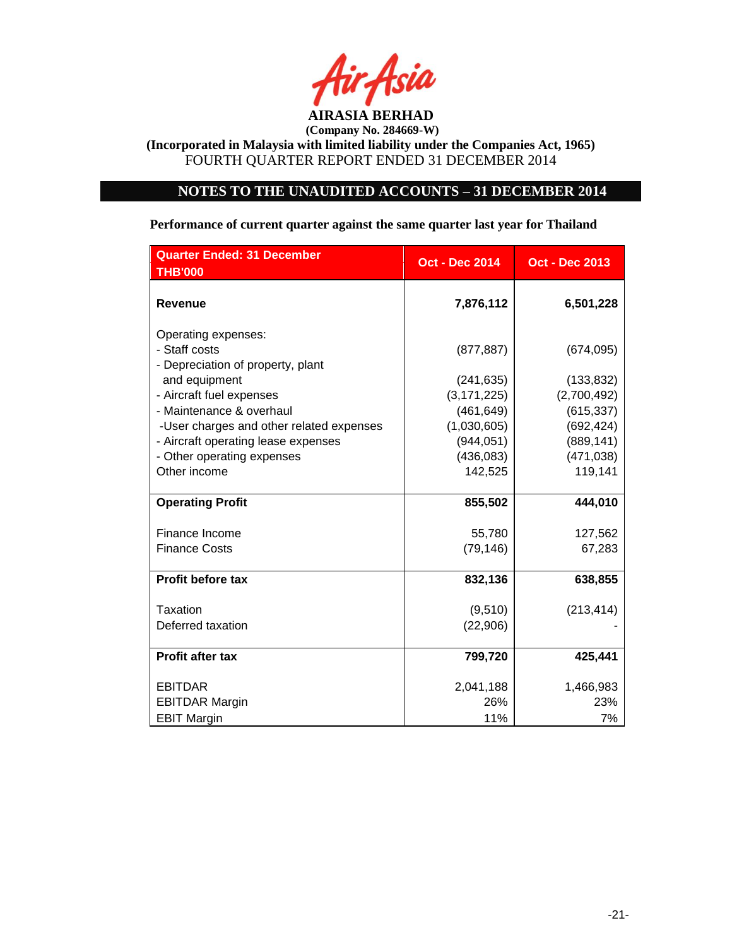

# **NOTES TO THE UNAUDITED ACCOUNTS – 31 DECEMBER 2014**

### **Performance of current quarter against the same quarter last year for Thailand**

| <b>Quarter Ended: 31 December</b>                                         | <b>Oct - Dec 2014</b> | <b>Oct - Dec 2013</b> |
|---------------------------------------------------------------------------|-----------------------|-----------------------|
| <b>THB'000</b>                                                            |                       |                       |
| <b>Revenue</b>                                                            | 7,876,112             | 6,501,228             |
| Operating expenses:<br>- Staff costs<br>- Depreciation of property, plant | (877, 887)            | (674, 095)            |
| and equipment                                                             | (241, 635)            | (133, 832)            |
| - Aircraft fuel expenses                                                  | (3, 171, 225)         | (2,700,492)           |
| - Maintenance & overhaul                                                  | (461, 649)            | (615, 337)            |
| -User charges and other related expenses                                  | (1,030,605)           | (692, 424)            |
| - Aircraft operating lease expenses                                       | (944, 051)            | (889, 141)            |
| - Other operating expenses                                                | (436,083)             | (471, 038)            |
| Other income                                                              | 142,525               | 119,141               |
|                                                                           |                       |                       |
| <b>Operating Profit</b>                                                   | 855,502               | 444,010               |
| Finance Income                                                            | 55,780                | 127,562               |
| <b>Finance Costs</b>                                                      | (79, 146)             | 67,283                |
|                                                                           |                       |                       |
| <b>Profit before tax</b>                                                  | 832,136               | 638,855               |
| <b>Taxation</b>                                                           | (9,510)               | (213, 414)            |
| Deferred taxation                                                         | (22,906)              |                       |
|                                                                           |                       |                       |
| Profit after tax                                                          | 799,720               | 425,441               |
| <b>EBITDAR</b>                                                            | 2,041,188             | 1,466,983             |
| <b>EBITDAR Margin</b>                                                     | 26%                   | 23%                   |
| <b>EBIT Margin</b>                                                        | 11%                   | 7%                    |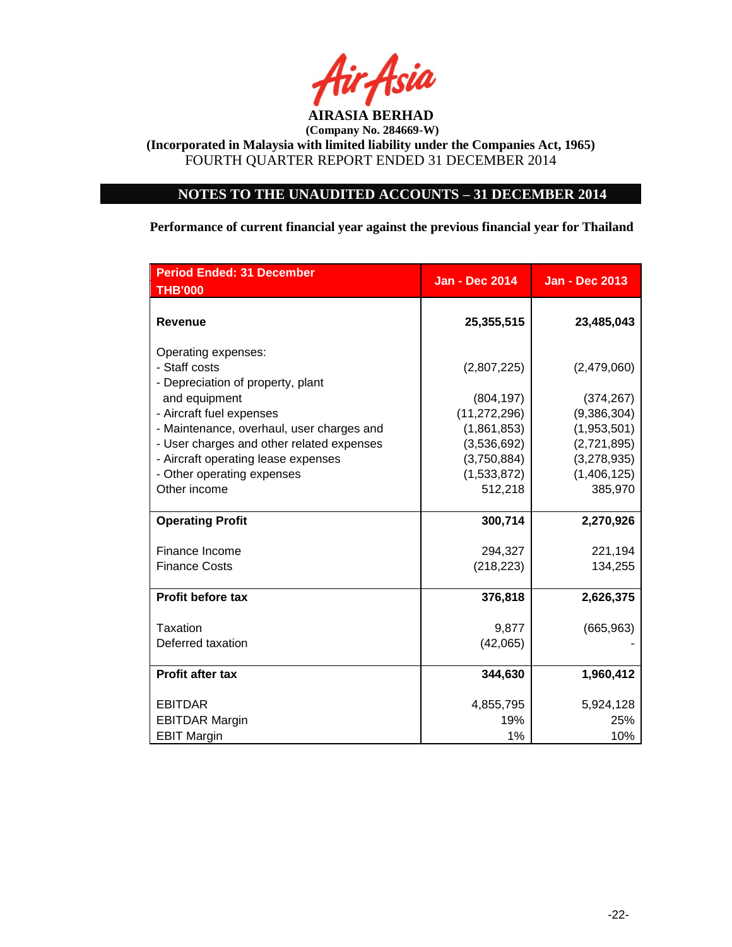

# **NOTES TO THE UNAUDITED ACCOUNTS – 31 DECEMBER 2014**

**Performance of current financial year against the previous financial year for Thailand**

| <b>Period Ended: 31 December</b><br><b>THB'000</b> | <b>Jan - Dec 2014</b> | <b>Jan - Dec 2013</b> |
|----------------------------------------------------|-----------------------|-----------------------|
|                                                    |                       |                       |
| <b>Revenue</b>                                     | 25,355,515            | 23,485,043            |
| Operating expenses:                                |                       |                       |
| - Staff costs                                      | (2,807,225)           | (2,479,060)           |
| - Depreciation of property, plant                  |                       |                       |
| and equipment                                      | (804, 197)            | (374, 267)            |
| - Aircraft fuel expenses                           | (11, 272, 296)        | (9,386,304)           |
| - Maintenance, overhaul, user charges and          | (1,861,853)           | (1,953,501)           |
| - User charges and other related expenses          | (3,536,692)           | (2,721,895)           |
| - Aircraft operating lease expenses                | (3,750,884)           | (3,278,935)           |
| - Other operating expenses                         | (1,533,872)           | (1,406,125)           |
| Other income                                       | 512,218               | 385,970               |
|                                                    |                       |                       |
| <b>Operating Profit</b>                            | 300,714               | 2,270,926             |
| Finance Income                                     | 294,327               | 221,194               |
| <b>Finance Costs</b>                               | (218, 223)            | 134,255               |
|                                                    |                       |                       |
| <b>Profit before tax</b>                           | 376,818               | 2,626,375             |
| Taxation                                           | 9,877                 | (665, 963)            |
| Deferred taxation                                  | (42,065)              |                       |
|                                                    |                       |                       |
| <b>Profit after tax</b>                            | 344,630               | 1,960,412             |
| <b>EBITDAR</b>                                     | 4,855,795             | 5,924,128             |
| <b>EBITDAR Margin</b>                              | 19%                   | 25%                   |
| <b>EBIT Margin</b>                                 | 1%                    | 10%                   |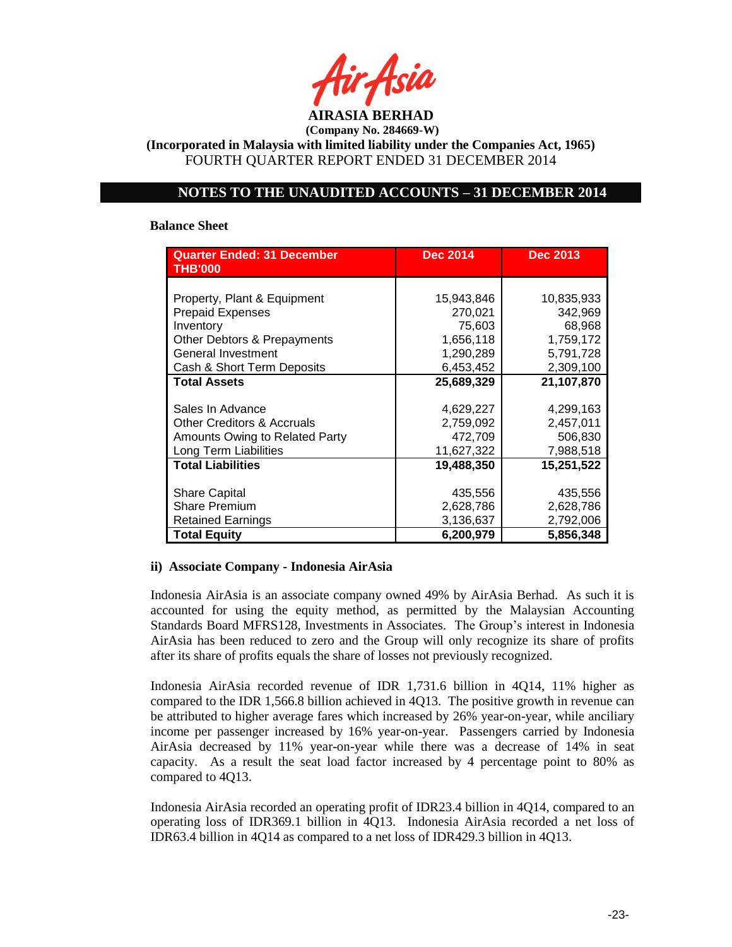

**(Incorporated in Malaysia with limited liability under the Companies Act, 1965)** FOURTH QUARTER REPORT ENDED 31 DECEMBER 2014

### **NOTES TO THE UNAUDITED ACCOUNTS – 31 DECEMBER 2014**

#### **Balance Sheet**

| <b>Quarter Ended: 31 December</b><br><b>THB'000</b> | <b>Dec 2014</b> | <b>Dec 2013</b> |
|-----------------------------------------------------|-----------------|-----------------|
|                                                     |                 |                 |
| Property, Plant & Equipment                         | 15,943,846      | 10,835,933      |
| <b>Prepaid Expenses</b>                             | 270,021         | 342,969         |
| Inventory                                           | 75,603          | 68,968          |
| Other Debtors & Prepayments                         | 1,656,118       | 1,759,172       |
| General Investment                                  | 1,290,289       | 5,791,728       |
| Cash & Short Term Deposits                          | 6,453,452       | 2,309,100       |
| <b>Total Assets</b>                                 | 25,689,329      | 21,107,870      |
|                                                     |                 |                 |
| Sales In Advance                                    | 4,629,227       | 4,299,163       |
| <b>Other Creditors &amp; Accruals</b>               | 2,759,092       | 2,457,011       |
| Amounts Owing to Related Party                      | 472,709         | 506,830         |
| Long Term Liabilities                               | 11,627,322      | 7,988,518       |
| <b>Total Liabilities</b>                            | 19,488,350      | 15,251,522      |
|                                                     |                 |                 |
| <b>Share Capital</b>                                | 435,556         | 435,556         |
| <b>Share Premium</b>                                | 2,628,786       | 2,628,786       |
| Retained Earnings                                   | 3,136,637       | 2,792,006       |
| <b>Total Equity</b>                                 | 6,200,979       | 5,856,348       |

### **ii) Associate Company - Indonesia AirAsia**

Indonesia AirAsia is an associate company owned 49% by AirAsia Berhad. As such it is accounted for using the equity method, as permitted by the Malaysian Accounting Standards Board MFRS128, Investments in Associates. The Group's interest in Indonesia AirAsia has been reduced to zero and the Group will only recognize its share of profits after its share of profits equals the share of losses not previously recognized.

Indonesia AirAsia recorded revenue of IDR 1,731.6 billion in 4Q14, 11% higher as compared to the IDR 1,566.8 billion achieved in 4Q13. The positive growth in revenue can be attributed to higher average fares which increased by 26% year-on-year, while anciliary income per passenger increased by 16% year-on-year. Passengers carried by Indonesia AirAsia decreased by 11% year-on-year while there was a decrease of 14% in seat capacity. As a result the seat load factor increased by 4 percentage point to 80% as compared to 4Q13.

Indonesia AirAsia recorded an operating profit of IDR23.4 billion in 4Q14, compared to an operating loss of IDR369.1 billion in 4Q13. Indonesia AirAsia recorded a net loss of IDR63.4 billion in 4Q14 as compared to a net loss of IDR429.3 billion in 4Q13.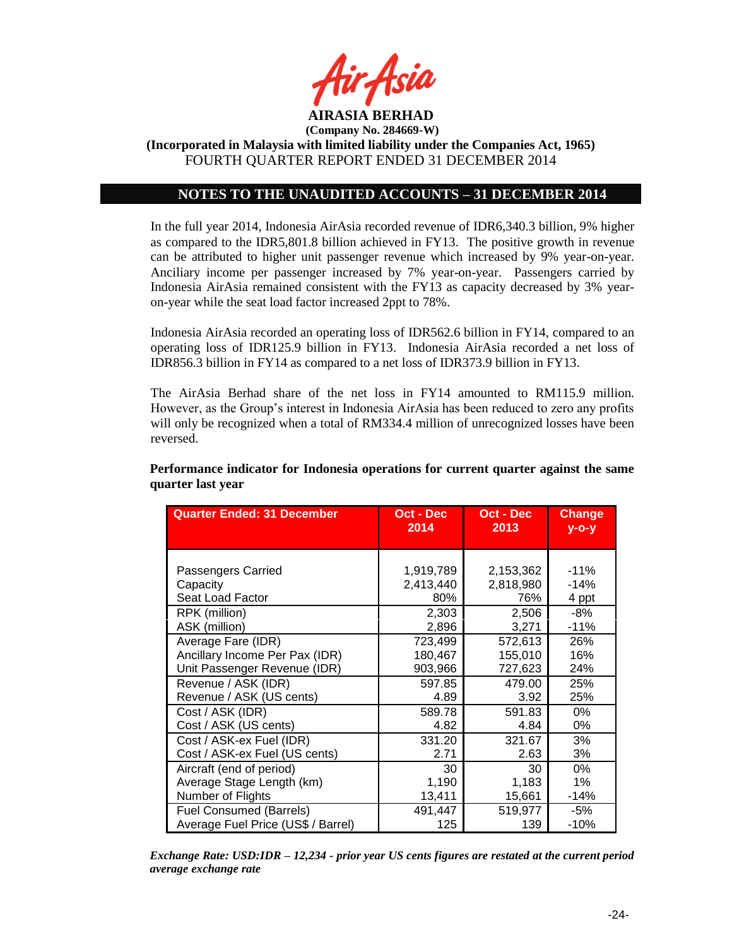

# **NOTES TO THE UNAUDITED ACCOUNTS – 31 DECEMBER 2014**

In the full year 2014, Indonesia AirAsia recorded revenue of IDR6,340.3 billion, 9% higher as compared to the IDR5,801.8 billion achieved in FY13. The positive growth in revenue can be attributed to higher unit passenger revenue which increased by 9% year-on-year. Anciliary income per passenger increased by 7% year-on-year. Passengers carried by Indonesia AirAsia remained consistent with the FY13 as capacity decreased by 3% yearon-year while the seat load factor increased 2ppt to 78%.

Indonesia AirAsia recorded an operating loss of IDR562.6 billion in FY14, compared to an operating loss of IDR125.9 billion in FY13. Indonesia AirAsia recorded a net loss of IDR856.3 billion in FY14 as compared to a net loss of IDR373.9 billion in FY13.

The AirAsia Berhad share of the net loss in FY14 amounted to RM115.9 million. However, as the Group's interest in Indonesia AirAsia has been reduced to zero any profits will only be recognized when a total of RM334.4 million of unrecognized losses have been reversed.

| <b>Quarter Ended: 31 December</b>  | Oct - Dec<br>2014 | <b>Oct - Dec</b><br>2013 | <b>Change</b><br>$y$ -o-y |
|------------------------------------|-------------------|--------------------------|---------------------------|
|                                    |                   |                          |                           |
|                                    |                   |                          |                           |
| Passengers Carried                 | 1,919,789         | 2,153,362                | $-11%$                    |
| Capacity                           | 2,413,440         | 2,818,980                | $-14%$                    |
| Seat Load Factor                   | 80%               | 76%                      | 4 ppt                     |
| RPK (million)                      | 2,303             | 2,506                    | -8%                       |
| ASK (million)                      | 2,896             | 3,271                    | $-11%$                    |
| Average Fare (IDR)                 | 723,499           | 572,613                  | 26%                       |
| Ancillary Income Per Pax (IDR)     | 180,467           | 155,010                  | 16%                       |
| Unit Passenger Revenue (IDR)       | 903,966           | 727,623                  | 24%                       |
| Revenue / ASK (IDR)                | 597.85            | 479.00                   | 25%                       |
| Revenue / ASK (US cents)           | 4.89              | 3.92                     | 25%                       |
| Cost / ASK (IDR)                   | 589.78            | 591.83                   | 0%                        |
| Cost / ASK (US cents)              | 4.82              | 4.84                     | 0%                        |
| Cost / ASK-ex Fuel (IDR)           | 331.20            | 321.67                   | 3%                        |
| Cost / ASK-ex Fuel (US cents)      | 2.71              | 2.63                     | 3%                        |
| Aircraft (end of period)           | 30                | 30                       | $0\%$                     |
| Average Stage Length (km)          | 1,190             | 1,183                    | 1%                        |
| Number of Flights                  | 13,411            | 15,661                   | $-14%$                    |
| <b>Fuel Consumed (Barrels)</b>     | 491,447           | 519,977                  | -5%                       |
| Average Fuel Price (US\$ / Barrel) | 125               | 139                      | $-10%$                    |

**Performance indicator for Indonesia operations for current quarter against the same quarter last year**

*Exchange Rate: USD:IDR – 12,234 - prior year US cents figures are restated at the current period average exchange rate*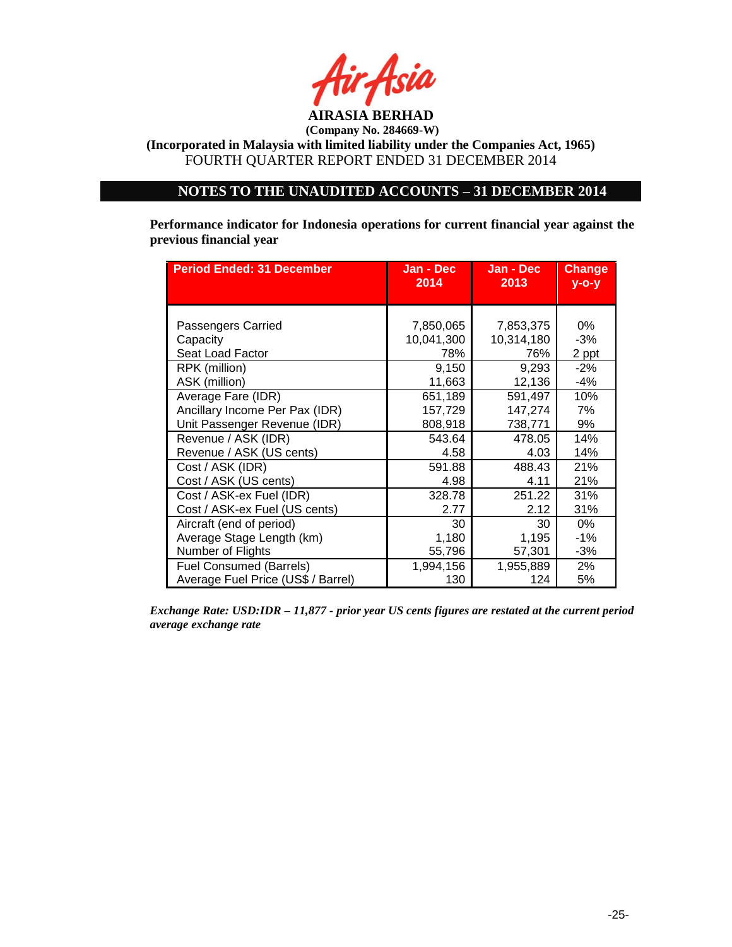

# **NOTES TO THE UNAUDITED ACCOUNTS – 31 DECEMBER 2014**

**Performance indicator for Indonesia operations for current financial year against the previous financial year**

| <b>Period Ended: 31 December</b>   | Jan - Dec  | Jan - Dec  | <b>Change</b> |
|------------------------------------|------------|------------|---------------|
|                                    | 2014       | 2013       | $y$ -o-y      |
| Passengers Carried                 | 7,850,065  | 7,853,375  | 0%            |
|                                    | 10,041,300 | 10,314,180 | $-3%$         |
| Capacity<br>Seat Load Factor       | 78%        | 76%        | 2 ppt         |
| RPK (million)                      | 9,150      | 9,293      | $-2%$         |
| ASK (million)                      | 11,663     | 12,136     | -4%           |
| Average Fare (IDR)                 | 651,189    | 591,497    | 10%           |
| Ancillary Income Per Pax (IDR)     | 157,729    | 147,274    | 7%            |
| Unit Passenger Revenue (IDR)       | 808,918    | 738,771    | 9%            |
| Revenue / ASK (IDR)                | 543.64     | 478.05     | 14%           |
| Revenue / ASK (US cents)           | 4.58       | 4.03       | 14%           |
| Cost / ASK (IDR)                   | 591.88     | 488.43     | 21%           |
| Cost / ASK (US cents)              | 4.98       | 4.11       | 21%           |
| Cost / ASK-ex Fuel (IDR)           | 328.78     | 251.22     | 31%           |
| Cost / ASK-ex Fuel (US cents)      | 2.77       | 2.12       | 31%           |
| Aircraft (end of period)           | 30         | 30         | 0%            |
| Average Stage Length (km)          | 1,180      | 1,195      | $-1%$         |
| Number of Flights                  | 55,796     | 57,301     | -3%           |
| <b>Fuel Consumed (Barrels)</b>     | 1,994,156  | 1,955,889  | 2%            |
| Average Fuel Price (US\$ / Barrel) | 130        | 124        | 5%            |

*Exchange Rate: USD:IDR – 11,877 - prior year US cents figures are restated at the current period average exchange rate*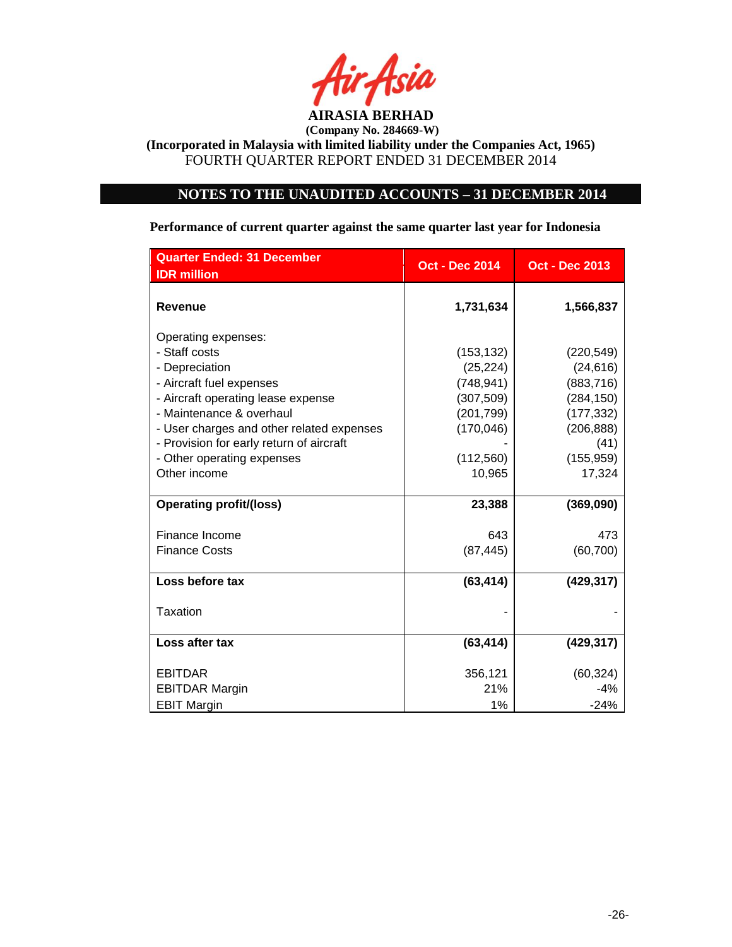

### **NOTES TO THE UNAUDITED ACCOUNTS – 31 DECEMBER 2014**

**Quarter Ended: 31 December Oct - Dec 2014 Oct - Dec 2013 IDR million Revenue 1,731,634 1,566,837** Operating expenses: - Staff costs (153,132) (220,549) - Depreciation (25,224) (24,616) - Aircraft fuel expenses (748,941) (883,716) - Aircraft operating lease expense (307,509) (284,150) - Maintenance & overhaul (201,799) (177,332) - User charges and other related expenses | (170,046) | (206,888) - Provision for early return of aircraft **Fig. 1** (41) - Other operating expenses (112,560) (155,959) Other income 10,965 17,324 **Operating profit/(loss) 23,388 (369,090)** Finance Income 643 473 Finance Costs (87,445) (60,700) **Loss before tax (63,414) (429,317)**  $\overline{\phantom{a}}$  Taxation  $\overline{\phantom{a}}$  . The set of  $\overline{\phantom{a}}$  is the set of  $\overline{\phantom{a}}$  . **Loss after tax (63,414) (429,317)** EBITDAR 356,121 (60,324) EBITDAR Margin 21% -4% EBIT Margin 1% -24%

**Performance of current quarter against the same quarter last year for Indonesia**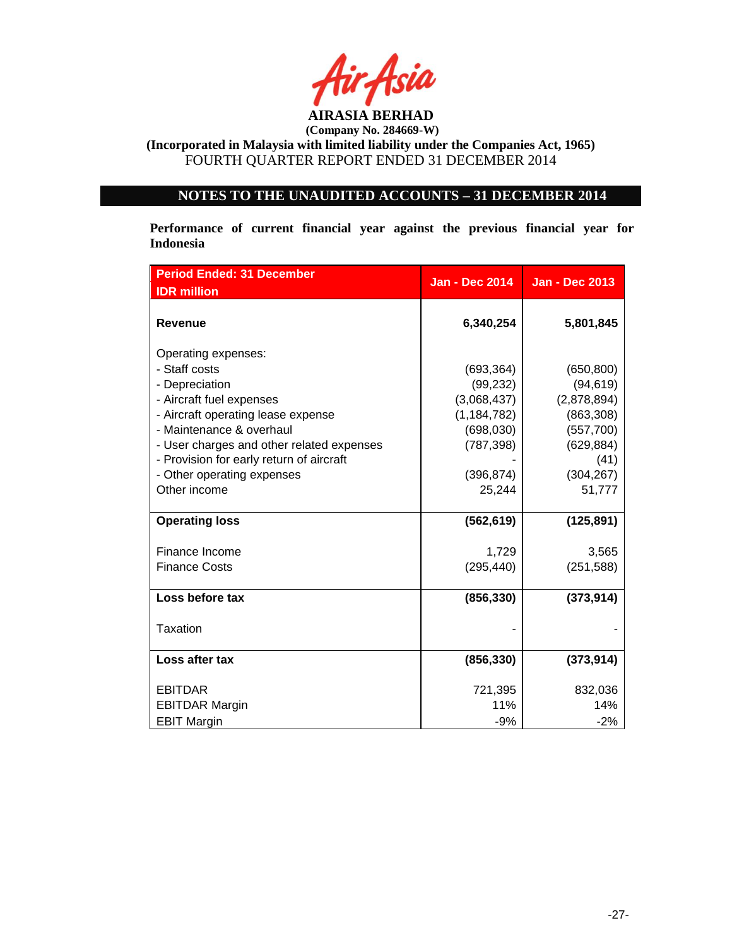

# **NOTES TO THE UNAUDITED ACCOUNTS – 31 DECEMBER 2014**

**Performance of current financial year against the previous financial year for Indonesia**

| <b>Period Ended: 31 December</b>          | <b>Jan - Dec 2014</b> | <b>Jan - Dec 2013</b> |
|-------------------------------------------|-----------------------|-----------------------|
| <b>IDR</b> million                        |                       |                       |
| <b>Revenue</b>                            | 6,340,254             | 5,801,845             |
| Operating expenses:                       |                       |                       |
| - Staff costs                             | (693, 364)            | (650, 800)            |
| - Depreciation                            | (99, 232)             | (94, 619)             |
| - Aircraft fuel expenses                  | (3,068,437)           | (2,878,894)           |
| - Aircraft operating lease expense        | (1, 184, 782)         | (863, 308)            |
| - Maintenance & overhaul                  | (698, 030)            | (557,700)             |
| - User charges and other related expenses | (787, 398)            | (629, 884)            |
| - Provision for early return of aircraft  |                       | (41)                  |
| - Other operating expenses                | (396, 874)            | (304, 267)            |
| Other income                              | 25,244                | 51,777                |
| <b>Operating loss</b>                     | (562, 619)            | (125, 891)            |
| Finance Income                            | 1,729                 | 3,565                 |
| <b>Finance Costs</b>                      | (295, 440)            | (251, 588)            |
| Loss before tax                           | (856, 330)            | (373, 914)            |
| <b>Taxation</b>                           |                       |                       |
| Loss after tax                            | (856, 330)            | (373, 914)            |
| <b>EBITDAR</b>                            | 721,395               | 832,036               |
| <b>EBITDAR Margin</b>                     | 11%                   | 14%                   |
| <b>EBIT Margin</b>                        | $-9%$                 | $-2%$                 |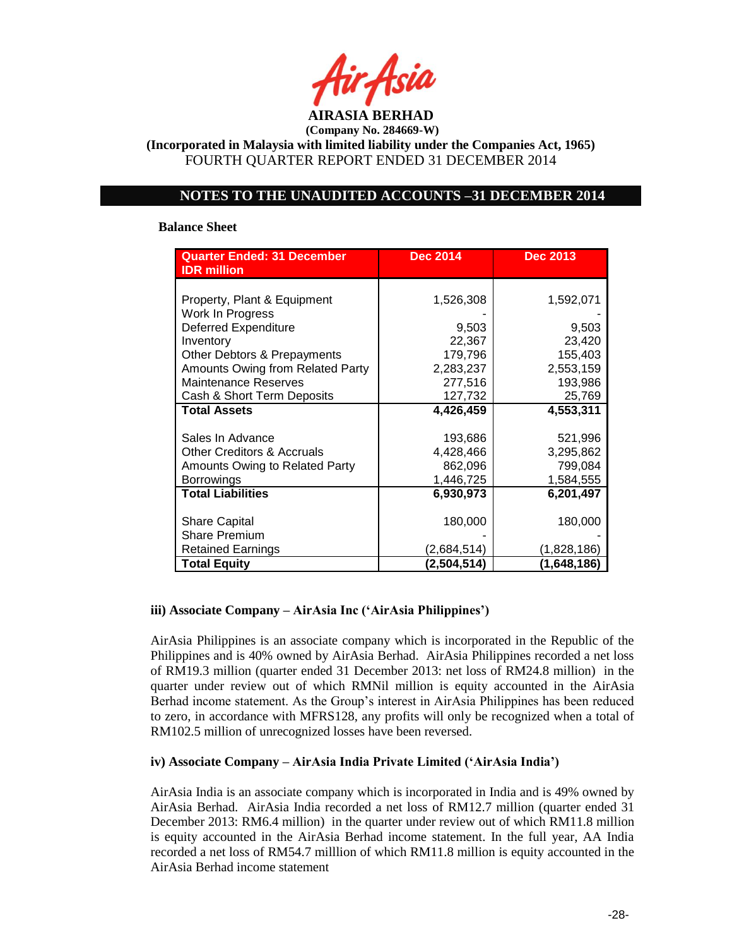

**(Incorporated in Malaysia with limited liability under the Companies Act, 1965)** FOURTH QUARTER REPORT ENDED 31 DECEMBER 2014

### **NOTES TO THE UNAUDITED ACCOUNTS –31 DECEMBER 2014**

#### **Balance Sheet**

| <b>Quarter Ended: 31 December</b><br><b>IDR</b> million | <b>Dec 2014</b> | <b>Dec 2013</b> |
|---------------------------------------------------------|-----------------|-----------------|
|                                                         |                 |                 |
| Property, Plant & Equipment                             | 1,526,308       | 1,592,071       |
| Work In Progress                                        |                 |                 |
| <b>Deferred Expenditure</b>                             | 9,503           | 9,503           |
| Inventory                                               | 22,367          | 23,420          |
| Other Debtors & Prepayments                             | 179,796         | 155,403         |
| Amounts Owing from Related Party                        | 2,283,237       | 2,553,159       |
| <b>Maintenance Reserves</b>                             | 277,516         | 193,986         |
| Cash & Short Term Deposits                              | 127,732         | 25,769          |
| <b>Total Assets</b>                                     | 4,426,459       | 4,553,311       |
|                                                         |                 |                 |
| Sales In Advance                                        | 193,686         | 521,996         |
| <b>Other Creditors &amp; Accruals</b>                   | 4,428,466       | 3,295,862       |
| Amounts Owing to Related Party                          | 862,096         | 799,084         |
| <b>Borrowings</b>                                       | 1,446,725       | 1,584,555       |
| <b>Total Liabilities</b>                                | 6,930,973       | 6,201,497       |
|                                                         |                 |                 |
| <b>Share Capital</b>                                    | 180,000         | 180,000         |
| <b>Share Premium</b>                                    |                 |                 |
| <b>Retained Earnings</b>                                | (2,684,514)     | (1,828,186)     |
| <b>Total Equity</b>                                     | (2,504,514)     | (1,648,186)     |

### **iii) Associate Company – AirAsia Inc ('AirAsia Philippines')**

AirAsia Philippines is an associate company which is incorporated in the Republic of the Philippines and is 40% owned by AirAsia Berhad. AirAsia Philippines recorded a net loss of RM19.3 million (quarter ended 31 December 2013: net loss of RM24.8 million) in the quarter under review out of which RMNil million is equity accounted in the AirAsia Berhad income statement. As the Group's interest in AirAsia Philippines has been reduced to zero, in accordance with MFRS128, any profits will only be recognized when a total of RM102.5 million of unrecognized losses have been reversed.

### **iv) Associate Company – AirAsia India Private Limited ('AirAsia India')**

AirAsia India is an associate company which is incorporated in India and is 49% owned by AirAsia Berhad. AirAsia India recorded a net loss of RM12.7 million (quarter ended 31 December 2013: RM6.4 million) in the quarter under review out of which RM11.8 million is equity accounted in the AirAsia Berhad income statement. In the full year, AA India recorded a net loss of RM54.7 milllion of which RM11.8 million is equity accounted in the AirAsia Berhad income statement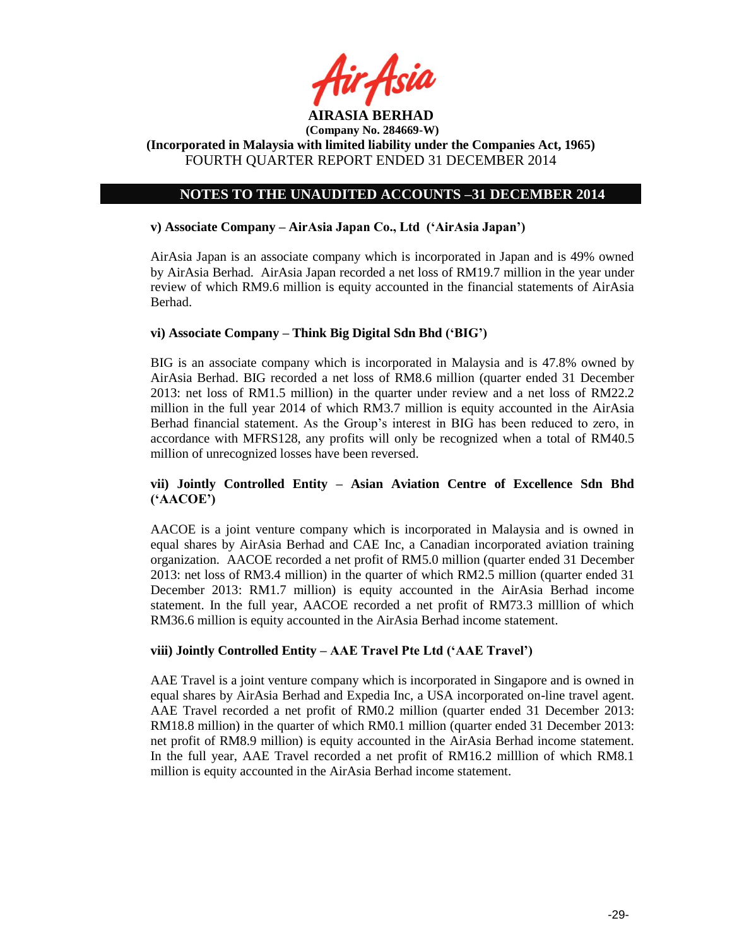

# **NOTES TO THE UNAUDITED ACCOUNTS –31 DECEMBER 2014**

### **v) Associate Company – AirAsia Japan Co., Ltd ('AirAsia Japan')**

AirAsia Japan is an associate company which is incorporated in Japan and is 49% owned by AirAsia Berhad. AirAsia Japan recorded a net loss of RM19.7 million in the year under review of which RM9.6 million is equity accounted in the financial statements of AirAsia Berhad.

### **vi) Associate Company – Think Big Digital Sdn Bhd ('BIG')**

BIG is an associate company which is incorporated in Malaysia and is 47.8% owned by AirAsia Berhad. BIG recorded a net loss of RM8.6 million (quarter ended 31 December 2013: net loss of RM1.5 million) in the quarter under review and a net loss of RM22.2 million in the full year 2014 of which RM3.7 million is equity accounted in the AirAsia Berhad financial statement. As the Group's interest in BIG has been reduced to zero, in accordance with MFRS128, any profits will only be recognized when a total of RM40.5 million of unrecognized losses have been reversed.

### **vii) Jointly Controlled Entity – Asian Aviation Centre of Excellence Sdn Bhd ('AACOE')**

AACOE is a joint venture company which is incorporated in Malaysia and is owned in equal shares by AirAsia Berhad and CAE Inc, a Canadian incorporated aviation training organization. AACOE recorded a net profit of RM5.0 million (quarter ended 31 December 2013: net loss of RM3.4 million) in the quarter of which RM2.5 million (quarter ended 31 December 2013: RM1.7 million) is equity accounted in the AirAsia Berhad income statement. In the full year, AACOE recorded a net profit of RM73.3 milllion of which RM36.6 million is equity accounted in the AirAsia Berhad income statement.

### **viii) Jointly Controlled Entity – AAE Travel Pte Ltd ('AAE Travel')**

AAE Travel is a joint venture company which is incorporated in Singapore and is owned in equal shares by AirAsia Berhad and Expedia Inc, a USA incorporated on-line travel agent. AAE Travel recorded a net profit of RM0.2 million (quarter ended 31 December 2013: RM18.8 million) in the quarter of which RM0.1 million (quarter ended 31 December 2013: net profit of RM8.9 million) is equity accounted in the AirAsia Berhad income statement. In the full year, AAE Travel recorded a net profit of RM16.2 milllion of which RM8.1 million is equity accounted in the AirAsia Berhad income statement.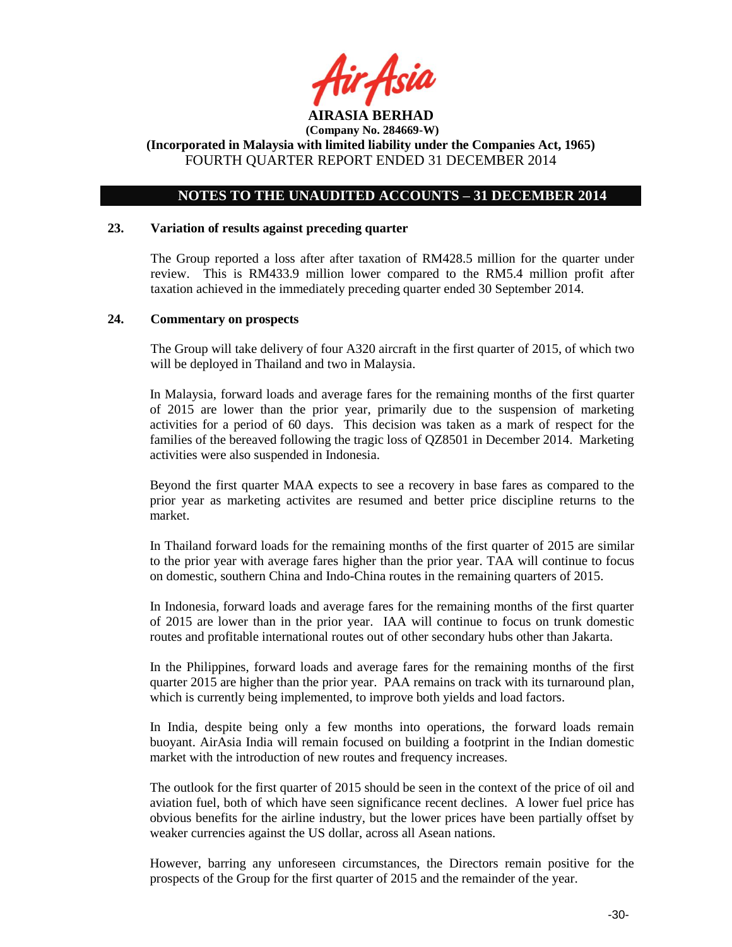

### **NOTES TO THE UNAUDITED ACCOUNTS – 31 DECEMBER 2014**

#### **23. Variation of results against preceding quarter**

The Group reported a loss after after taxation of RM428.5 million for the quarter under review. This is RM433.9 million lower compared to the RM5.4 million profit after taxation achieved in the immediately preceding quarter ended 30 September 2014.

#### **24. Commentary on prospects**

The Group will take delivery of four A320 aircraft in the first quarter of 2015, of which two will be deployed in Thailand and two in Malaysia.

In Malaysia, forward loads and average fares for the remaining months of the first quarter of 2015 are lower than the prior year, primarily due to the suspension of marketing activities for a period of 60 days. This decision was taken as a mark of respect for the families of the bereaved following the tragic loss of QZ8501 in December 2014. Marketing activities were also suspended in Indonesia.

Beyond the first quarter MAA expects to see a recovery in base fares as compared to the prior year as marketing activites are resumed and better price discipline returns to the market.

In Thailand forward loads for the remaining months of the first quarter of 2015 are similar to the prior year with average fares higher than the prior year. TAA will continue to focus on domestic, southern China and Indo-China routes in the remaining quarters of 2015.

In Indonesia, forward loads and average fares for the remaining months of the first quarter of 2015 are lower than in the prior year. IAA will continue to focus on trunk domestic routes and profitable international routes out of other secondary hubs other than Jakarta.

In the Philippines, forward loads and average fares for the remaining months of the first quarter 2015 are higher than the prior year. PAA remains on track with its turnaround plan, which is currently being implemented, to improve both yields and load factors.

In India, despite being only a few months into operations, the forward loads remain buoyant. AirAsia India will remain focused on building a footprint in the Indian domestic market with the introduction of new routes and frequency increases.

The outlook for the first quarter of 2015 should be seen in the context of the price of oil and aviation fuel, both of which have seen significance recent declines. A lower fuel price has obvious benefits for the airline industry, but the lower prices have been partially offset by weaker currencies against the US dollar, across all Asean nations.

However, barring any unforeseen circumstances, the Directors remain positive for the prospects of the Group for the first quarter of 2015 and the remainder of the year.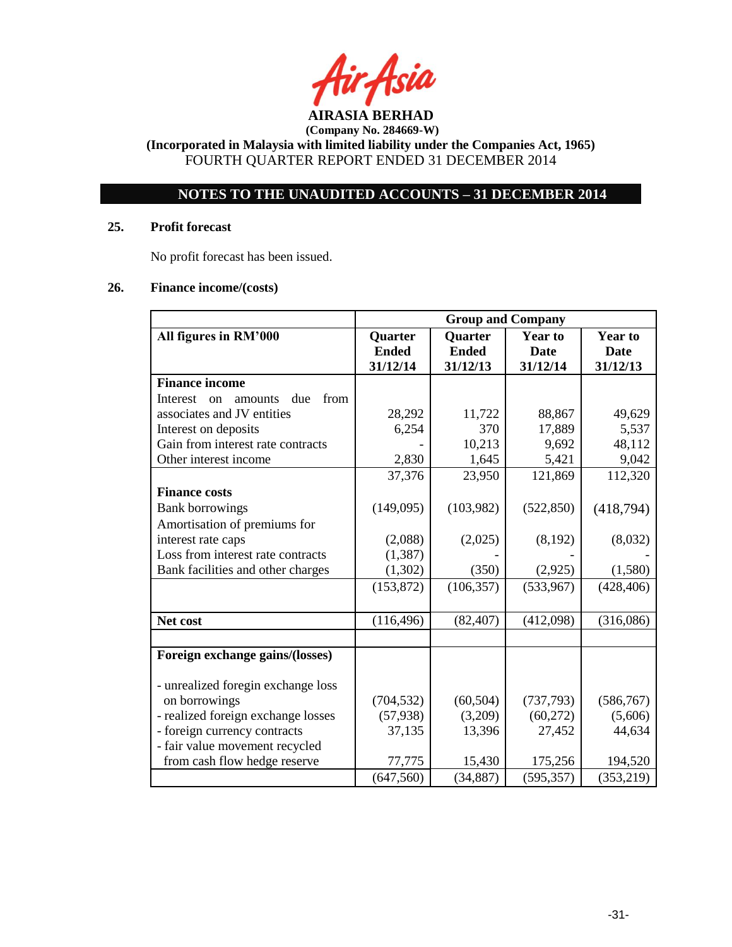

**(Incorporated in Malaysia with limited liability under the Companies Act, 1965)** FOURTH QUARTER REPORT ENDED 31 DECEMBER 2014

# **NOTES TO THE UNAUDITED ACCOUNTS – 31 DECEMBER 2014**

## **25. Profit forecast**

No profit forecast has been issued.

### **26. Finance income/(costs)**

|                                          | <b>Group and Company</b> |                |                |                |
|------------------------------------------|--------------------------|----------------|----------------|----------------|
| All figures in RM'000                    | <b>Quarter</b>           | <b>Quarter</b> | <b>Year to</b> | <b>Year to</b> |
|                                          | <b>Ended</b>             | <b>Ended</b>   | <b>Date</b>    | <b>Date</b>    |
|                                          | 31/12/14                 | 31/12/13       | 31/12/14       | 31/12/13       |
| <b>Finance income</b>                    |                          |                |                |                |
| due<br>from<br>Interest<br>amounts<br>on |                          |                |                |                |
| associates and JV entities               | 28,292                   | 11,722         | 88,867         | 49,629         |
| Interest on deposits                     | 6,254                    | 370            | 17,889         | 5,537          |
| Gain from interest rate contracts        |                          | 10,213         | 9,692          | 48,112         |
| Other interest income                    | 2,830                    | 1,645          | 5,421          | 9,042          |
|                                          | 37,376                   | 23,950         | 121,869        | 112,320        |
| <b>Finance costs</b>                     |                          |                |                |                |
| <b>Bank borrowings</b>                   | (149,095)                | (103,982)      | (522, 850)     | (418,794)      |
| Amortisation of premiums for             |                          |                |                |                |
| interest rate caps                       | (2,088)                  | (2,025)        | (8,192)        | (8,032)        |
| Loss from interest rate contracts        | (1, 387)                 |                |                |                |
| Bank facilities and other charges        | (1,302)                  | (350)          | (2,925)        | (1,580)        |
|                                          | (153, 872)               | (106, 357)     | (533,967)      | (428, 406)     |
|                                          |                          |                |                |                |
| Net cost                                 | (116, 496)               | (82, 407)      | (412,098)      | (316,086)      |
|                                          |                          |                |                |                |
| Foreign exchange gains/(losses)          |                          |                |                |                |
| - unrealized foregin exchange loss       |                          |                |                |                |
| on borrowings                            | (704, 532)               | (60, 504)      | (737, 793)     | (586, 767)     |
| - realized foreign exchange losses       | (57, 938)                | (3,209)        | (60, 272)      | (5,606)        |
| - foreign currency contracts             | 37,135                   | 13,396         | 27,452         | 44,634         |
| - fair value movement recycled           |                          |                |                |                |
| from cash flow hedge reserve             | 77,775                   | 15,430         | 175,256        | 194,520        |
|                                          | (647, 560)               | (34, 887)      | (595, 357)     | (353, 219)     |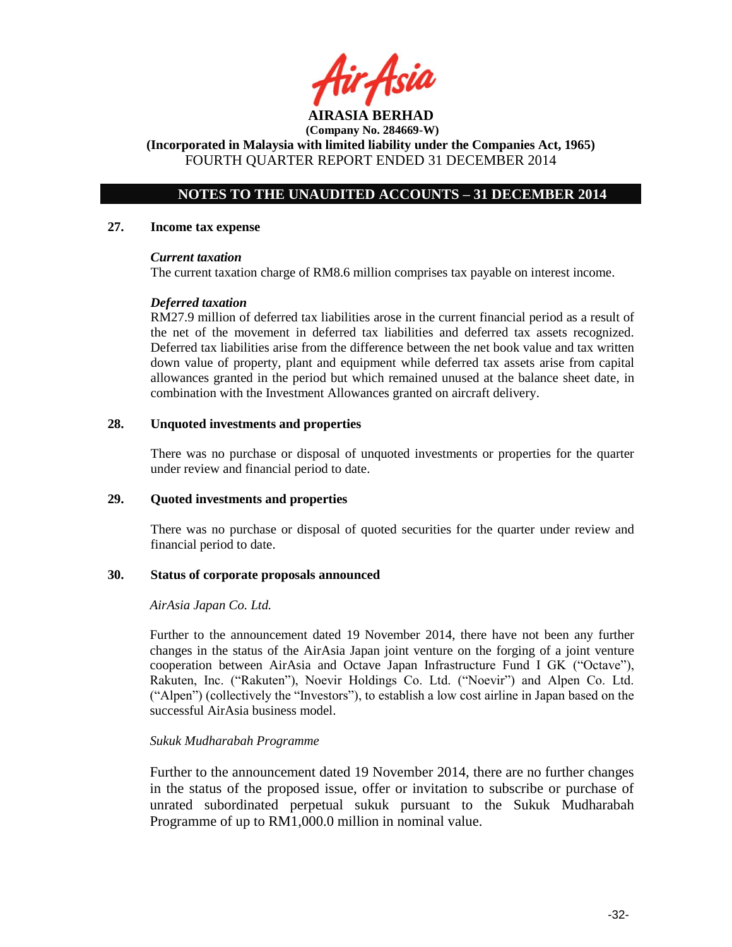**AIRASIA BERHAD** 

**(Incorporated in Malaysia with limited liability under the Companies Act, 1965)** FOURTH QUARTER REPORT ENDED 31 DECEMBER 2014

# **NOTES TO THE UNAUDITED ACCOUNTS – 31 DECEMBER 2014**

#### **27. Income tax expense**

#### *Current taxation*

The current taxation charge of RM8.6 million comprises tax payable on interest income.

### *Deferred taxation*

RM27.9 million of deferred tax liabilities arose in the current financial period as a result of the net of the movement in deferred tax liabilities and deferred tax assets recognized. Deferred tax liabilities arise from the difference between the net book value and tax written down value of property, plant and equipment while deferred tax assets arise from capital allowances granted in the period but which remained unused at the balance sheet date, in combination with the Investment Allowances granted on aircraft delivery.

### **28. Unquoted investments and properties**

There was no purchase or disposal of unquoted investments or properties for the quarter under review and financial period to date.

### **29. Quoted investments and properties**

There was no purchase or disposal of quoted securities for the quarter under review and financial period to date.

### **30. Status of corporate proposals announced**

### *AirAsia Japan Co. Ltd.*

Further to the announcement dated 19 November 2014, there have not been any further changes in the status of the AirAsia Japan joint venture on the forging of a joint venture cooperation between AirAsia and Octave Japan Infrastructure Fund I GK ("Octave"), Rakuten, Inc. ("Rakuten"), Noevir Holdings Co. Ltd. ("Noevir") and Alpen Co. Ltd. ("Alpen") (collectively the "Investors"), to establish a low cost airline in Japan based on the successful AirAsia business model.

### *Sukuk Mudharabah Programme*

Further to the announcement dated 19 November 2014, there are no further changes in the status of the proposed issue, offer or invitation to subscribe or purchase of unrated subordinated perpetual sukuk pursuant to the Sukuk Mudharabah Programme of up to RM1,000.0 million in nominal value.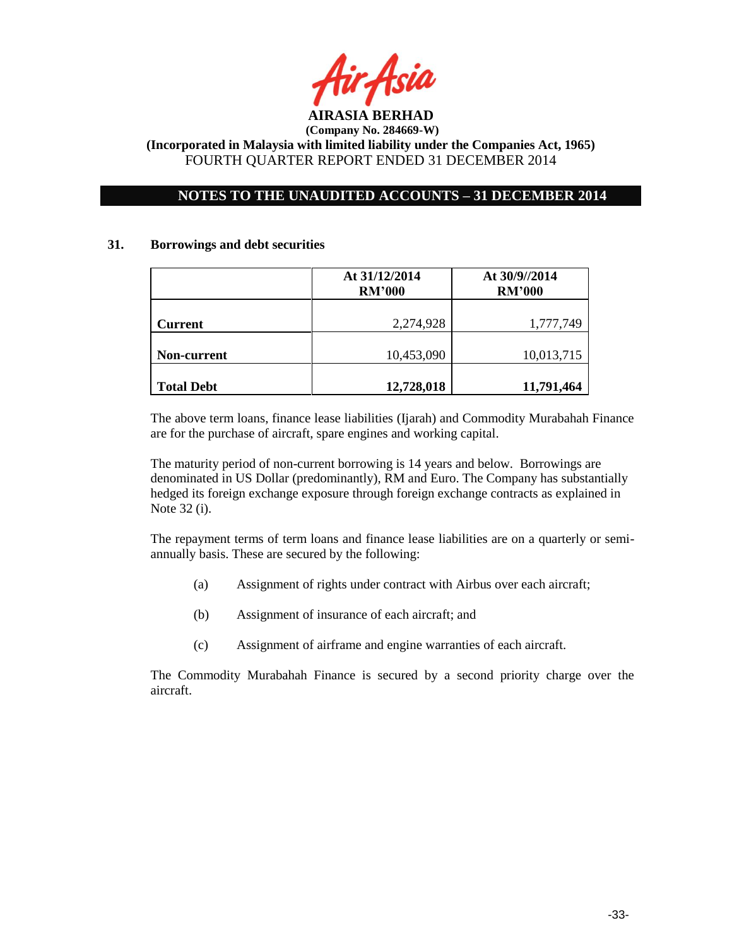

## **NOTES TO THE UNAUDITED ACCOUNTS – 31 DECEMBER 2014**

#### **31. Borrowings and debt securities**

|                   | At 31/12/2014<br><b>RM'000</b> | At 30/9//2014<br><b>RM'000</b> |
|-------------------|--------------------------------|--------------------------------|
| <b>Current</b>    | 2,274,928                      | 1,777,749                      |
| Non-current       | 10,453,090                     | 10,013,715                     |
| <b>Total Debt</b> | 12,728,018                     | 11,791,464                     |

The above term loans, finance lease liabilities (Ijarah) and Commodity Murabahah Finance are for the purchase of aircraft, spare engines and working capital.

The maturity period of non-current borrowing is 14 years and below. Borrowings are denominated in US Dollar (predominantly), RM and Euro. The Company has substantially hedged its foreign exchange exposure through foreign exchange contracts as explained in Note 32 (i).

The repayment terms of term loans and finance lease liabilities are on a quarterly or semiannually basis. These are secured by the following:

- (a) Assignment of rights under contract with Airbus over each aircraft;
- (b) Assignment of insurance of each aircraft; and
- (c) Assignment of airframe and engine warranties of each aircraft.

The Commodity Murabahah Finance is secured by a second priority charge over the aircraft.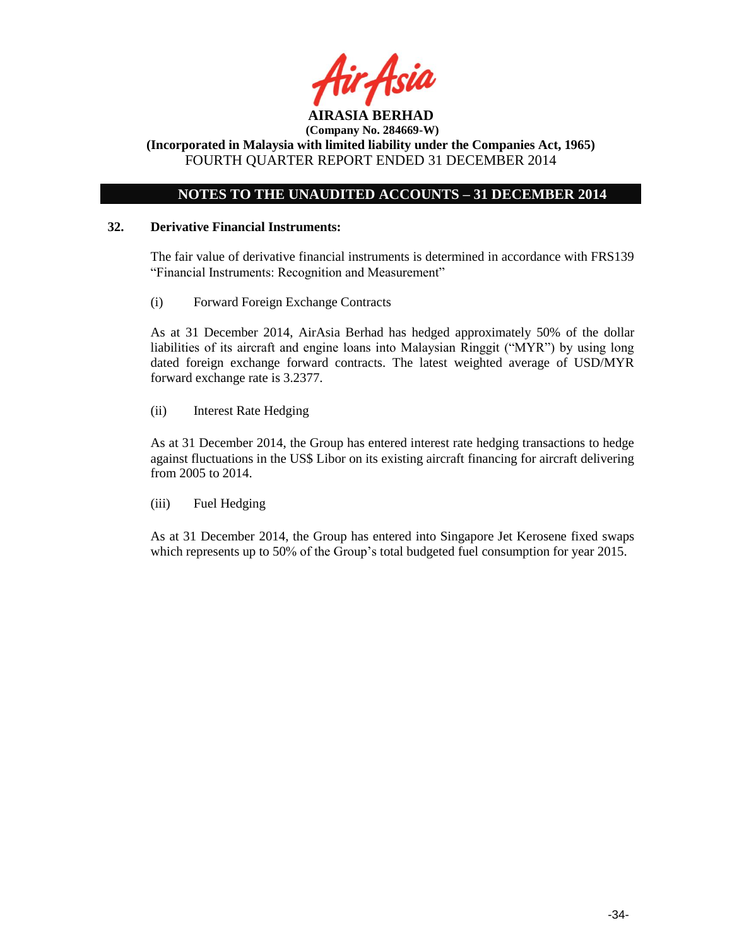

**(Company No. 284669-W) (Incorporated in Malaysia with limited liability under the Companies Act, 1965)**

FOURTH QUARTER REPORT ENDED 31 DECEMBER 2014

# **NOTES TO THE UNAUDITED ACCOUNTS – 31 DECEMBER 2014**

### **32. Derivative Financial Instruments:**

The fair value of derivative financial instruments is determined in accordance with FRS139 "Financial Instruments: Recognition and Measurement"

(i) Forward Foreign Exchange Contracts

As at 31 December 2014, AirAsia Berhad has hedged approximately 50% of the dollar liabilities of its aircraft and engine loans into Malaysian Ringgit ("MYR") by using long dated foreign exchange forward contracts. The latest weighted average of USD/MYR forward exchange rate is 3.2377.

(ii) Interest Rate Hedging

As at 31 December 2014, the Group has entered interest rate hedging transactions to hedge against fluctuations in the US\$ Libor on its existing aircraft financing for aircraft delivering from 2005 to 2014.

(iii) Fuel Hedging

As at 31 December 2014, the Group has entered into Singapore Jet Kerosene fixed swaps which represents up to 50% of the Group's total budgeted fuel consumption for year 2015.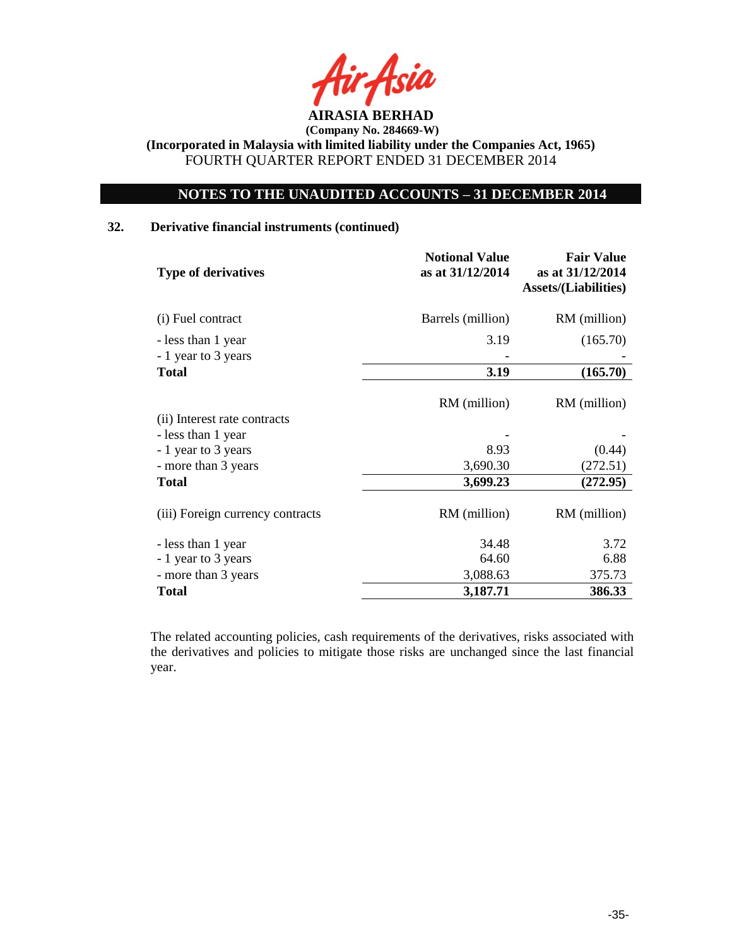

# **NOTES TO THE UNAUDITED ACCOUNTS – 31 DECEMBER 2014**

### **32. Derivative financial instruments (continued)**

| as at 31/12/2014  | as at 31/12/2014<br><b>Assets/(Liabilities)</b> |
|-------------------|-------------------------------------------------|
| Barrels (million) | RM (million)                                    |
| 3.19              | (165.70)                                        |
|                   |                                                 |
| 3.19              | (165.70)                                        |
| RM (million)      | RM (million)                                    |
|                   |                                                 |
| 8.93              | (0.44)                                          |
| 3,690.30          | (272.51)                                        |
| 3,699.23          | (272.95)                                        |
| RM (million)      | RM (million)                                    |
| 34.48             | 3.72                                            |
| 64.60             | 6.88                                            |
| 3,088.63          | 375.73                                          |
| 3,187.71          | 386.33                                          |
|                   |                                                 |

The related accounting policies, cash requirements of the derivatives, risks associated with the derivatives and policies to mitigate those risks are unchanged since the last financial year.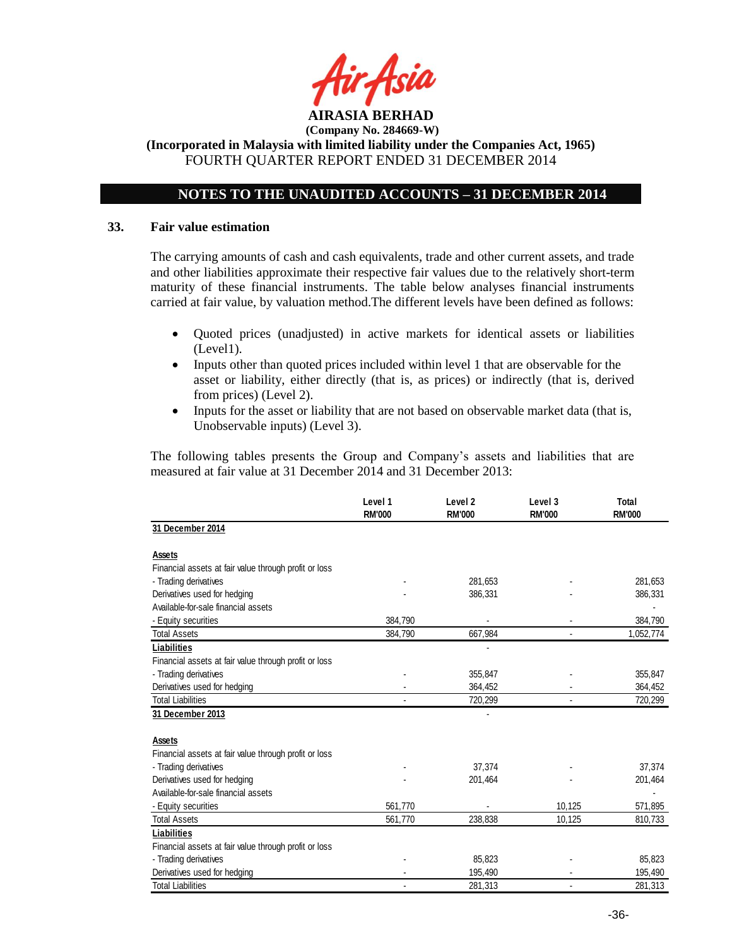

## **(Incorporated in Malaysia with limited liability under the Companies Act, 1965)** FOURTH QUARTER REPORT ENDED 31 DECEMBER 2014

# **NOTES TO THE UNAUDITED ACCOUNTS – 31 DECEMBER 2014**

#### **33. Fair value estimation**

The carrying amounts of cash and cash equivalents, trade and other current assets, and trade and other liabilities approximate their respective fair values due to the relatively short-term maturity of these financial instruments. The table below analyses financial instruments carried at fair value, by valuation method.The different levels have been defined as follows:

- Quoted prices (unadjusted) in active markets for identical assets or liabilities (Level1).
- Inputs other than quoted prices included within level 1 that are observable for the asset or liability, either directly (that is, as prices) or indirectly (that is, derived from prices) (Level 2).
- Inputs for the asset or liability that are not based on observable market data (that is, Unobservable inputs) (Level 3).

The following tables presents the Group and Company's assets and liabilities that are measured at fair value at 31 December 2014 and 31 December 2013:

|                                                       | Level 1<br><b>RM'000</b> | Level <sub>2</sub><br><b>RM'000</b> | Level 3<br><b>RM'000</b> | Total<br><b>RM'000</b> |
|-------------------------------------------------------|--------------------------|-------------------------------------|--------------------------|------------------------|
| 31 December 2014                                      |                          |                                     |                          |                        |
| Assets                                                |                          |                                     |                          |                        |
| Financial assets at fair value through profit or loss |                          |                                     |                          |                        |
| - Trading derivatives                                 |                          | 281,653                             |                          | 281,653                |
| Derivatives used for hedging                          |                          | 386,331                             |                          | 386,331                |
| Available-for-sale financial assets                   |                          |                                     |                          |                        |
| - Equity securities                                   | 384,790                  |                                     |                          | 384,790                |
| <b>Total Assets</b>                                   | 384,790                  | 667,984                             |                          | 1,052,774              |
| Liabilities                                           |                          |                                     |                          |                        |
| Financial assets at fair value through profit or loss |                          |                                     |                          |                        |
| - Trading derivatives                                 |                          | 355,847                             |                          | 355,847                |
| Derivatives used for hedging                          |                          | 364,452                             |                          | 364,452                |
| <b>Total Liabilities</b>                              |                          | 720,299                             |                          | 720,299                |
| 31 December 2013                                      |                          |                                     |                          |                        |
| Assets                                                |                          |                                     |                          |                        |
| Financial assets at fair value through profit or loss |                          |                                     |                          |                        |
| - Trading derivatives                                 |                          | 37,374                              |                          | 37,374                 |
| Derivatives used for hedging                          |                          | 201,464                             |                          | 201,464                |
| Available-for-sale financial assets                   |                          |                                     |                          |                        |
| - Equity securities                                   | 561,770                  |                                     | 10,125                   | 571,895                |
| <b>Total Assets</b>                                   | 561,770                  | 238,838                             | 10,125                   | 810,733                |
| Liabilities                                           |                          |                                     |                          |                        |
| Financial assets at fair value through profit or loss |                          |                                     |                          |                        |
| - Trading derivatives                                 |                          | 85,823                              |                          | 85,823                 |
| Derivatives used for hedging                          |                          | 195,490                             |                          | 195,490                |
| <b>Total Liabilities</b>                              | $\overline{\phantom{a}}$ | 281,313                             | $\overline{\phantom{a}}$ | 281,313                |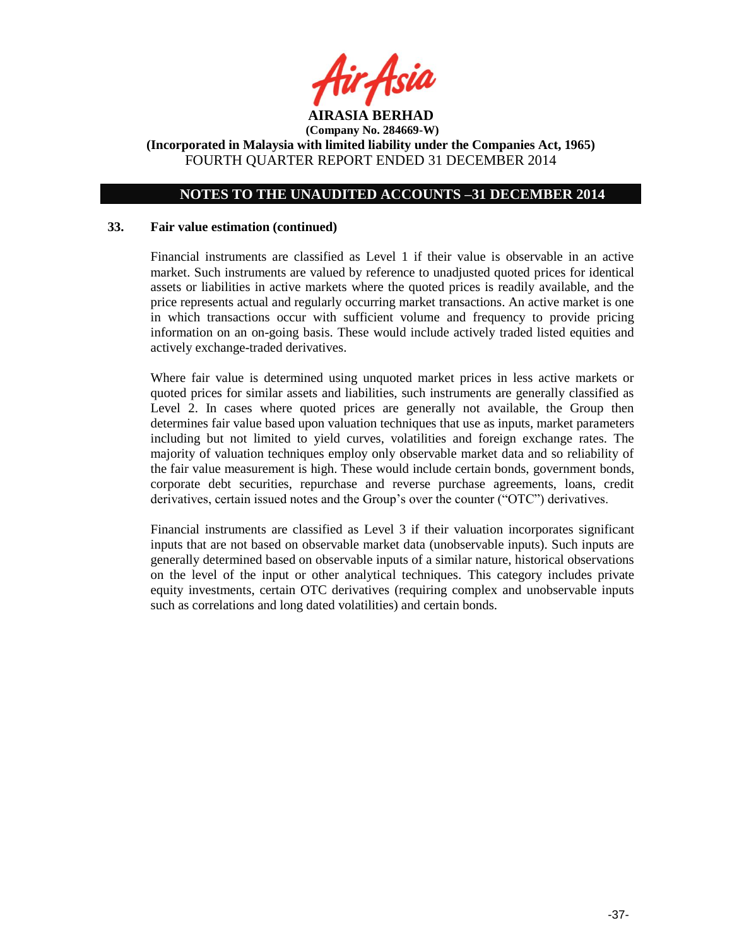

# **NOTES TO THE UNAUDITED ACCOUNTS –31 DECEMBER 2014**

#### **33. Fair value estimation (continued)**

Financial instruments are classified as Level 1 if their value is observable in an active market. Such instruments are valued by reference to unadjusted quoted prices for identical assets or liabilities in active markets where the quoted prices is readily available, and the price represents actual and regularly occurring market transactions. An active market is one in which transactions occur with sufficient volume and frequency to provide pricing information on an on-going basis. These would include actively traded listed equities and actively exchange-traded derivatives.

Where fair value is determined using unquoted market prices in less active markets or quoted prices for similar assets and liabilities, such instruments are generally classified as Level 2. In cases where quoted prices are generally not available, the Group then determines fair value based upon valuation techniques that use as inputs, market parameters including but not limited to yield curves, volatilities and foreign exchange rates. The majority of valuation techniques employ only observable market data and so reliability of the fair value measurement is high. These would include certain bonds, government bonds, corporate debt securities, repurchase and reverse purchase agreements, loans, credit derivatives, certain issued notes and the Group's over the counter ("OTC") derivatives.

Financial instruments are classified as Level 3 if their valuation incorporates significant inputs that are not based on observable market data (unobservable inputs). Such inputs are generally determined based on observable inputs of a similar nature, historical observations on the level of the input or other analytical techniques. This category includes private equity investments, certain OTC derivatives (requiring complex and unobservable inputs such as correlations and long dated volatilities) and certain bonds.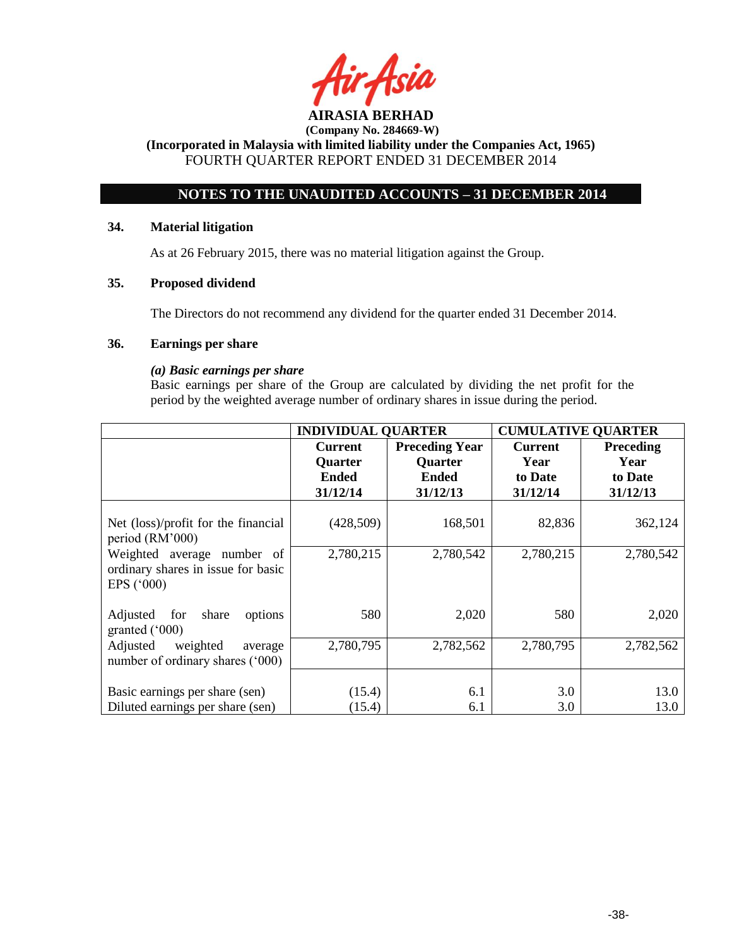

**(Incorporated in Malaysia with limited liability under the Companies Act, 1965)** FOURTH QUARTER REPORT ENDED 31 DECEMBER 2014

# **NOTES TO THE UNAUDITED ACCOUNTS – 31 DECEMBER 2014**

### **34. Material litigation**

As at 26 February 2015, there was no material litigation against the Group.

### **35. Proposed dividend**

The Directors do not recommend any dividend for the quarter ended 31 December 2014.

#### **36. Earnings per share**

### *(a) Basic earnings per share*

Basic earnings per share of the Group are calculated by dividing the net profit for the period by the weighted average number of ordinary shares in issue during the period.

|                                                                                         | <b>INDIVIDUAL QUARTER</b> |                       | <b>CUMULATIVE QUARTER</b> |                  |
|-----------------------------------------------------------------------------------------|---------------------------|-----------------------|---------------------------|------------------|
|                                                                                         | <b>Current</b>            | <b>Preceding Year</b> | <b>Current</b>            | <b>Preceding</b> |
|                                                                                         | <b>Quarter</b>            | <b>Quarter</b>        | Year                      | Year             |
|                                                                                         | <b>Ended</b>              | <b>Ended</b>          | to Date                   | to Date          |
|                                                                                         | 31/12/14                  | 31/12/13              | 31/12/14                  | 31/12/13         |
| Net (loss)/profit for the financial<br>period (RM'000)                                  | (428, 509)                | 168,501               | 82,836                    | 362,124          |
| Weighted average number of<br>ordinary shares in issue for basic<br>EPS $(^{\circ}000)$ | 2,780,215                 | 2,780,542             | 2,780,215                 | 2,780,542        |
| Adjusted<br>for<br>share<br>options<br>granted $(000)$                                  | 580                       | 2,020                 | 580                       | 2,020            |
| Adjusted<br>weighted<br>average<br>number of ordinary shares ('000)                     | 2,780,795                 | 2,782,562             | 2,780,795                 | 2,782,562        |
| Basic earnings per share (sen)                                                          | (15.4)                    | 6.1                   | 3.0                       | 13.0             |
| Diluted earnings per share (sen)                                                        | (15.4)                    | 6.1                   | 3.0                       | 13.0             |